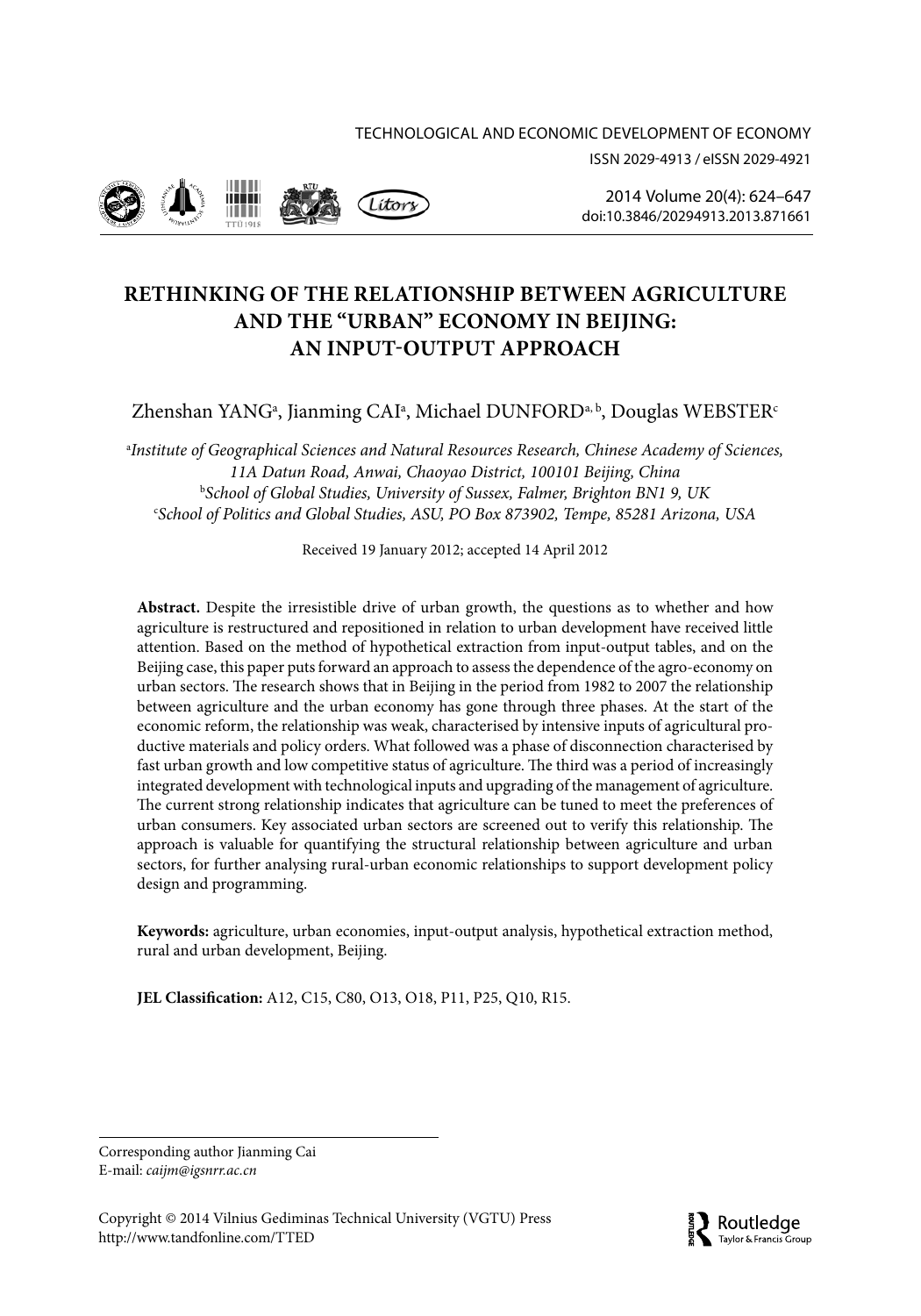

2014 Volume 20(4): 624–647 [doi:10.3846/20294913.2013.871661](http://dx.doi.org/10.3846/20294913.2014.871661)

# **Rethinking of the Relationship between Agriculture and the "Urban" Economy in Beijing: An Input-Output Approach**

Zhenshan YANGª, Jianming CAIª, Michael DUNFORDª<sup>, b</sup>, Douglas WEBSTER<sup>。</sup>

a *Institute of Geographical Sciences and Natural Resources Research, Chinese Academy of Sciences, 11A Datun Road, Anwai, Chaoyao District, 100101 Beijing, China* b *School of Global Studies, University of Sussex, Falmer, Brighton BN1 9, UK* c *School of Politics and Global Studies, ASU, PO Box 873902, Tempe, 85281 Arizona, USA*

Received 19 January 2012; accepted 14 April 2012

**Abstract.** Despite the irresistible drive of urban growth, the questions as to whether and how agriculture is restructured and repositioned in relation to urban development have received little attention. Based on the method of hypothetical extraction from input-output tables, and on the Beijing case, this paper puts forward an approach to assess the dependence of the agro-economy on urban sectors. The research shows that in Beijing in the period from 1982 to 2007 the relationship between agriculture and the urban economy has gone through three phases. At the start of the economic reform, the relationship was weak, characterised by intensive inputs of agricultural productive materials and policy orders. What followed was a phase of disconnection characterised by fast urban growth and low competitive status of agriculture. The third was a period of increasingly integrated development with technological inputs and upgrading of the management of agriculture. The current strong relationship indicates that agriculture can be tuned to meet the preferences of urban consumers. Key associated urban sectors are screened out to verify this relationship. The approach is valuable for quantifying the structural relationship between agriculture and urban sectors, for further analysing rural-urban economic relationships to support development policy design and programming.

**Keywords:** agriculture, urban economies, input-output analysis, hypothetical extraction method, rural and urban development, Beijing.

**JEL Classification:** A12, C15, C80, O13, O18, P11, P25, Q10, R15.

Corresponding author Jianming Cai E-mail: *[caijm@igsnrr.ac.cn](mailto:caijm@igsnrr.ac.cn)*

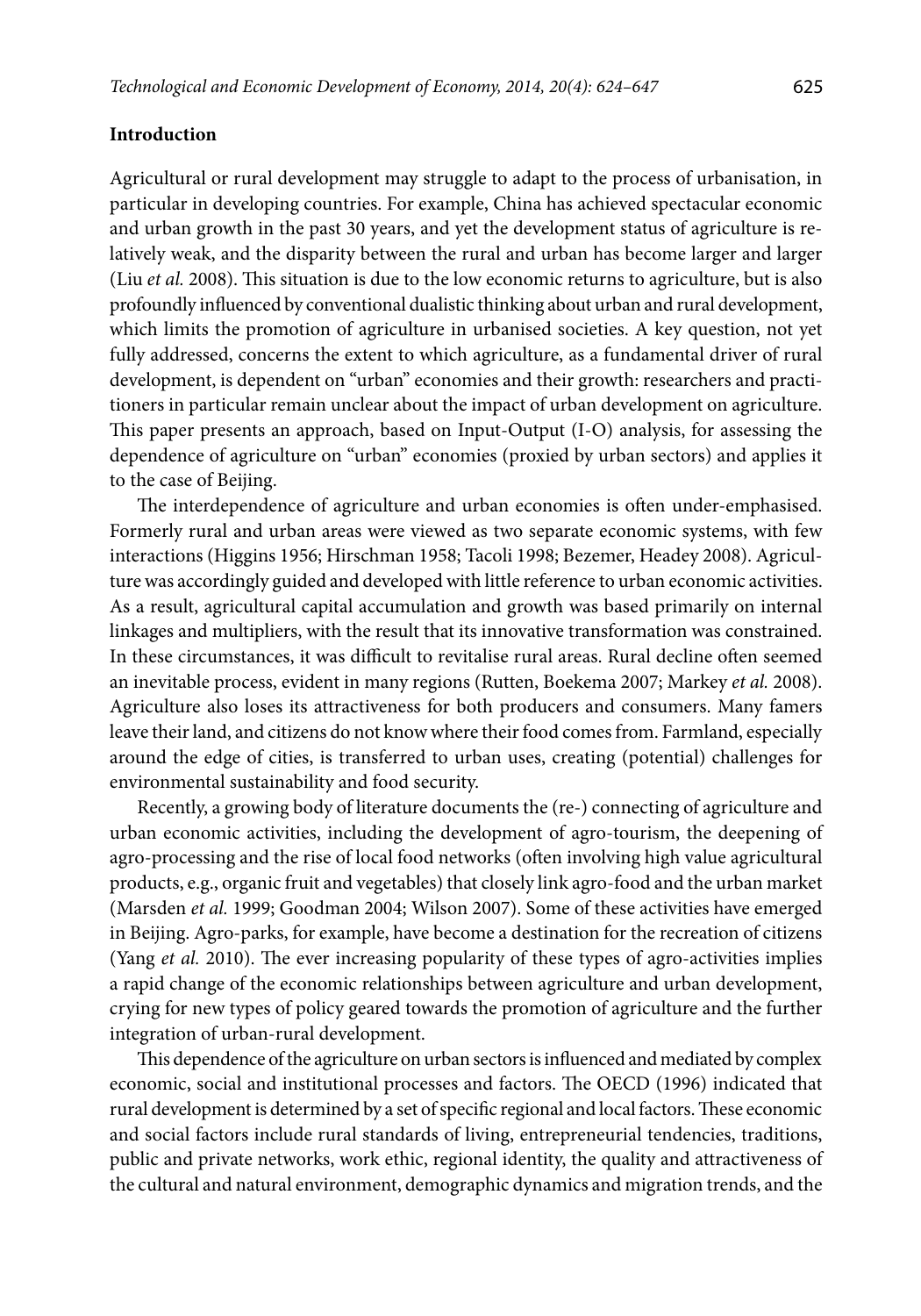### **Introduction**

Agricultural or rural development may struggle to adapt to the process of urbanisation, in particular in developing countries. For example, China has achieved spectacular economic and urban growth in the past 30 years, and yet the development status of agriculture is relatively weak, and the disparity between the rural and urban has become larger and larger (Liu *et al.* 2008). This situation is due to the low economic returns to agriculture, but is also profoundly influenced by conventional dualistic thinking about urban and rural development, which limits the promotion of agriculture in urbanised societies. A key question, not yet fully addressed, concerns the extent to which agriculture, as a fundamental driver of rural development, is dependent on "urban" economies and their growth: researchers and practitioners in particular remain unclear about the impact of urban development on agriculture. This paper presents an approach, based on Input-Output (I-O) analysis, for assessing the dependence of agriculture on "urban" economies (proxied by urban sectors) and applies it to the case of Beijing.

The interdependence of agriculture and urban economies is often under-emphasised. Formerly rural and urban areas were viewed as two separate economic systems, with few interactions (Higgins 1956; Hirschman 1958; Tacoli 1998; Bezemer, Headey 2008). Agriculture was accordingly guided and developed with little reference to urban economic activities. As a result, agricultural capital accumulation and growth was based primarily on internal linkages and multipliers, with the result that its innovative transformation was constrained. In these circumstances, it was difficult to revitalise rural areas. Rural decline often seemed an inevitable process, evident in many regions (Rutten, Boekema 2007; Markey *et al.* 2008). Agriculture also loses its attractiveness for both producers and consumers. Many famers leave their land, and citizens do not know where their food comes from. Farmland, especially around the edge of cities, is transferred to urban uses, creating (potential) challenges for environmental sustainability and food security.

Recently, a growing body of literature documents the (re-) connecting of agriculture and urban economic activities, including the development of agro-tourism, the deepening of agro-processing and the rise of local food networks (often involving high value agricultural products, e.g., organic fruit and vegetables) that closely link agro-food and the urban market (Marsden *et al.* 1999; Goodman 2004; Wilson 2007). Some of these activities have emerged in Beijing. Agro-parks, for example, have become a destination for the recreation of citizens (Yang *et al.* 2010). The ever increasing popularity of these types of agro-activities implies a rapid change of the economic relationships between agriculture and urban development, crying for new types of policy geared towards the promotion of agriculture and the further integration of urban-rural development.

This dependence of the agriculture on urban sectors is influenced and mediated by complex economic, social and institutional processes and factors. The OECD (1996) indicated that rural development is determined by a set of specific regional and local factors. These economic and social factors include rural standards of living, entrepreneurial tendencies, traditions, public and private networks, work ethic, regional identity, the quality and attractiveness of the cultural and natural environment, demographic dynamics and migration trends, and the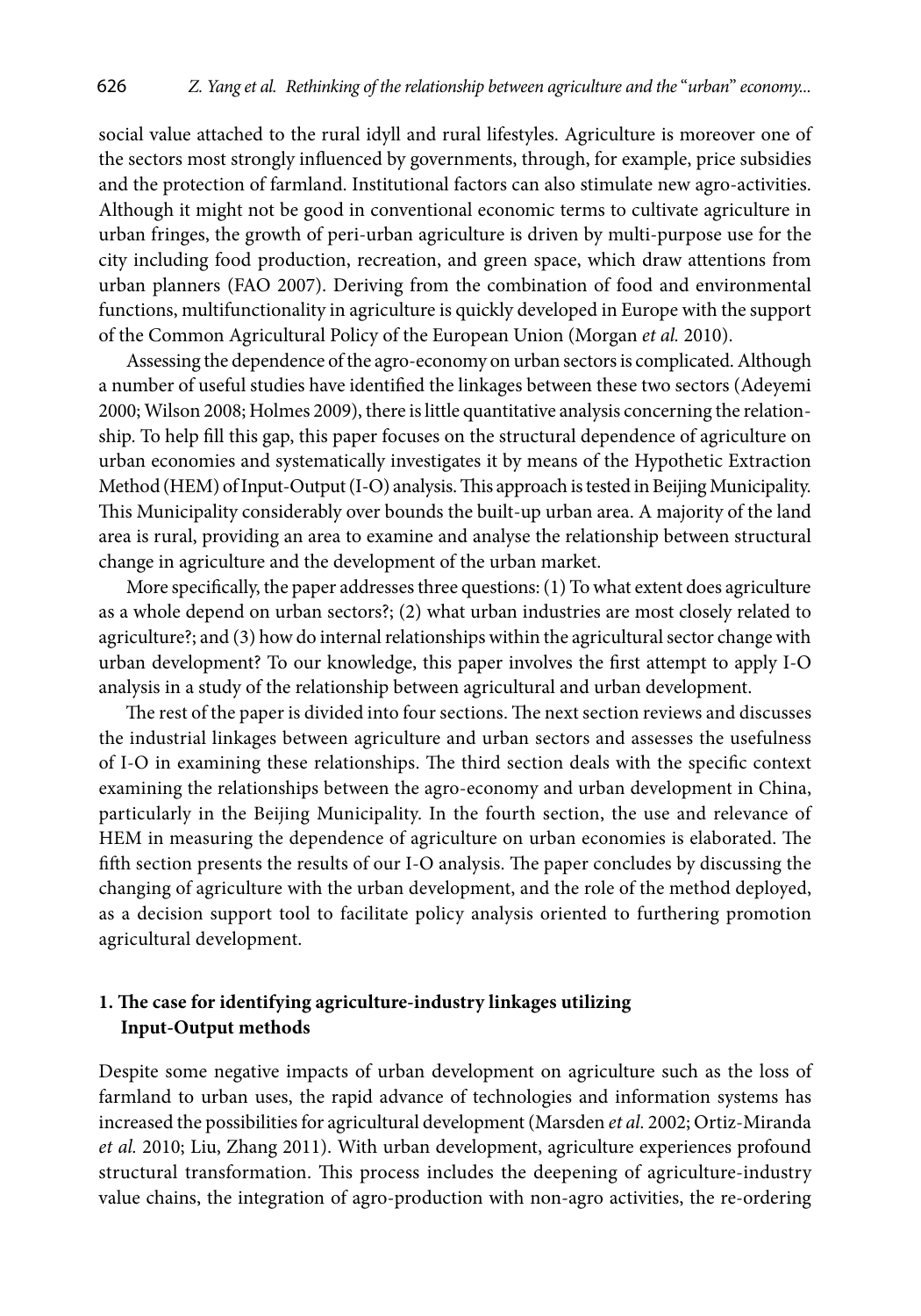social value attached to the rural idyll and rural lifestyles. Agriculture is moreover one of the sectors most strongly influenced by governments, through, for example, price subsidies and the protection of farmland. Institutional factors can also stimulate new agro-activities. Although it might not be good in conventional economic terms to cultivate agriculture in urban fringes, the growth of peri-urban agriculture is driven by multi-purpose use for the city including food production, recreation, and green space, which draw attentions from urban planners (FAO 2007). Deriving from the combination of food and environmental functions, multifunctionality in agriculture is quickly developed in Europe with the support of the Common Agricultural Policy of the European Union (Morgan *et al.* 2010).

Assessing the dependence of the agro-economy on urban sectors is complicated. Although a number of useful studies have identified the linkages between these two sectors (Adeyemi 2000; Wilson 2008; Holmes 2009), there is little quantitative analysis concerning the relationship. To help fill this gap, this paper focuses on the structural dependence of agriculture on urban economies and systematically investigates it by means of the Hypothetic Extraction Method (HEM) of Input-Output (I-O) analysis. This approach is tested in Beijing Municipality. This Municipality considerably over bounds the built-up urban area. A majority of the land area is rural, providing an area to examine and analyse the relationship between structural change in agriculture and the development of the urban market.

More specifically, the paper addresses three questions: (1) To what extent does agriculture as a whole depend on urban sectors?; (2) what urban industries are most closely related to agriculture?; and (3) how do internal relationships within the agricultural sector change with urban development? To our knowledge, this paper involves the first attempt to apply I-O analysis in a study of the relationship between agricultural and urban development.

The rest of the paper is divided into four sections. The next section reviews and discusses the industrial linkages between agriculture and urban sectors and assesses the usefulness of I-O in examining these relationships. The third section deals with the specific context examining the relationships between the agro-economy and urban development in China, particularly in the Beijing Municipality. In the fourth section, the use and relevance of HEM in measuring the dependence of agriculture on urban economies is elaborated. The fifth section presents the results of our I-O analysis. The paper concludes by discussing the changing of agriculture with the urban development, and the role of the method deployed, as a decision support tool to facilitate policy analysis oriented to furthering promotion agricultural development.

## **1. The case for identifying agriculture-industry linkages utilizing Input-Output methods**

Despite some negative impacts of urban development on agriculture such as the loss of farmland to urban uses, the rapid advance of technologies and information systems has increased the possibilities for agricultural development (Marsden *et al.* 2002; Ortiz-Miranda *et al.* 2010; Liu, Zhang 2011). With urban development, agriculture experiences profound structural transformation. This process includes the deepening of agriculture-industry value chains, the integration of agro-production with non-agro activities, the re-ordering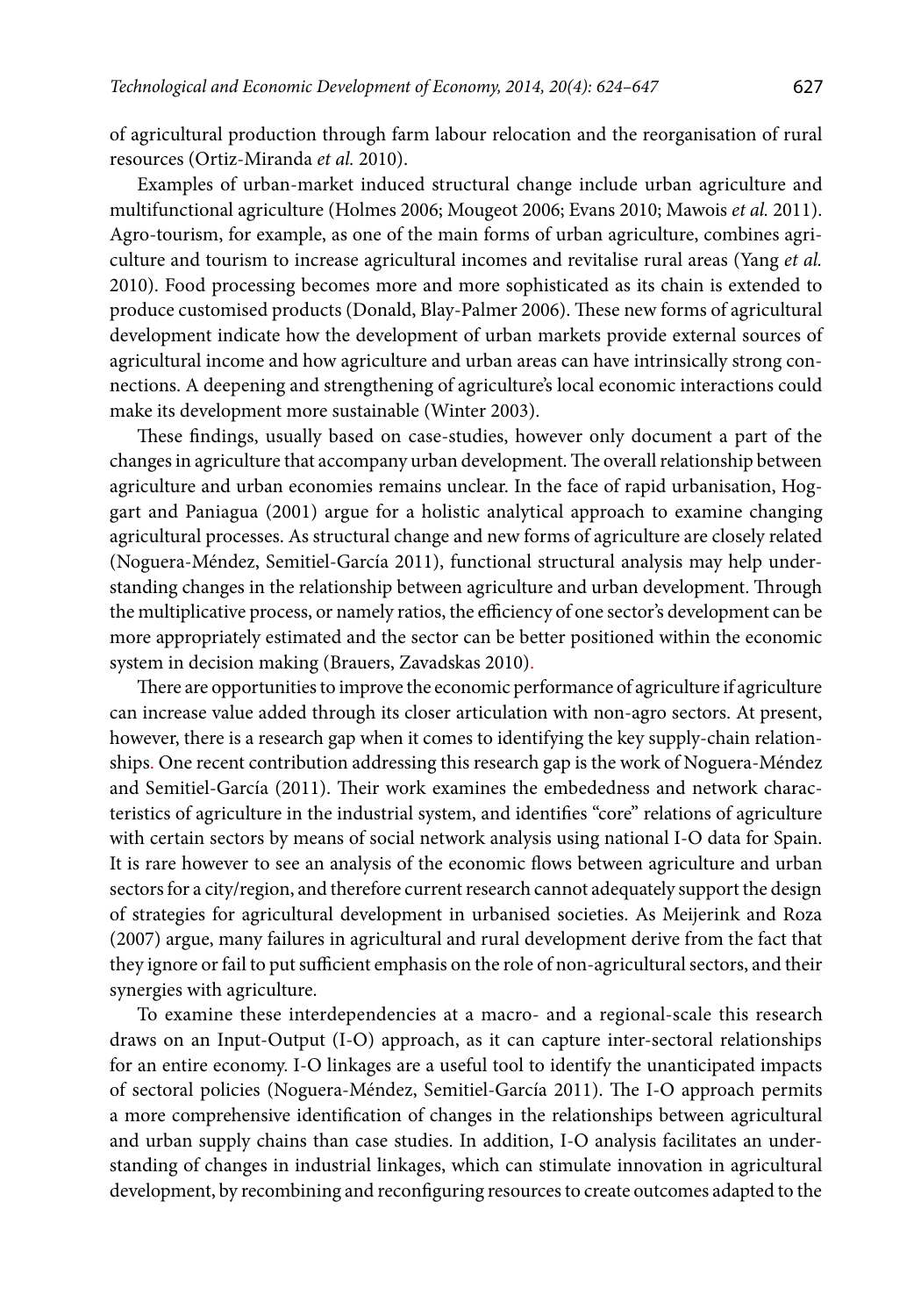of agricultural production through farm labour relocation and the reorganisation of rural resources (Ortiz-Miranda *et al.* 2010).

Examples of urban-market induced structural change include urban agriculture and multifunctional agriculture (Holmes 2006; Mougeot 2006; Evans 2010; Mawois *et al.* 2011). Agro-tourism, for example, as one of the main forms of urban agriculture, combines agriculture and tourism to increase agricultural incomes and revitalise rural areas (Yang *et al.* 2010). Food processing becomes more and more sophisticated as its chain is extended to produce customised products (Donald, Blay-Palmer 2006). These new forms of agricultural development indicate how the development of urban markets provide external sources of agricultural income and how agriculture and urban areas can have intrinsically strong connections. A deepening and strengthening of agriculture's local economic interactions could make its development more sustainable (Winter 2003).

These findings, usually based on case-studies, however only document a part of the changes in agriculture that accompany urban development. The overall relationship between agriculture and urban economies remains unclear. In the face of rapid urbanisation, Hoggart and Paniagua (2001) argue for a holistic analytical approach to examine changing agricultural processes. As structural change and new forms of agriculture are closely related (Noguera-Méndez, Semitiel-García 2011), functional structural analysis may help understanding changes in the relationship between agriculture and urban development. Through the multiplicative process, or namely ratios, the efficiency of one sector's development can be more appropriately estimated and the sector can be better positioned within the economic system in decision making (Brauers, Zavadskas 2010).

There are opportunities to improve the economic performance of agriculture if agriculture can increase value added through its closer articulation with non-agro sectors. At present, however, there is a research gap when it comes to identifying the key supply-chain relationships. One recent contribution addressing this research gap is the work of Noguera-Méndez and Semitiel-García (2011). Their work examines the embededness and network characteristics of agriculture in the industrial system, and identifies "core" relations of agriculture with certain sectors by means of social network analysis using national I-O data for Spain. It is rare however to see an analysis of the economic flows between agriculture and urban sectors for a city/region, and therefore current research cannot adequately support the design of strategies for agricultural development in urbanised societies. As Meijerink and Roza (2007) argue, many failures in agricultural and rural development derive from the fact that they ignore or fail to put sufficient emphasis on the role of non-agricultural sectors, and their synergies with agriculture.

To examine these interdependencies at a macro- and a regional-scale this research draws on an Input-Output (I-O) approach, as it can capture inter-sectoral relationships for an entire economy. I-O linkages are a useful tool to identify the unanticipated impacts of sectoral policies (Noguera-Méndez, Semitiel-García 2011). The I-O approach permits a more comprehensive identification of changes in the relationships between agricultural and urban supply chains than case studies. In addition, I-O analysis facilitates an understanding of changes in industrial linkages, which can stimulate innovation in agricultural development, by recombining and reconfiguring resources to create outcomes adapted to the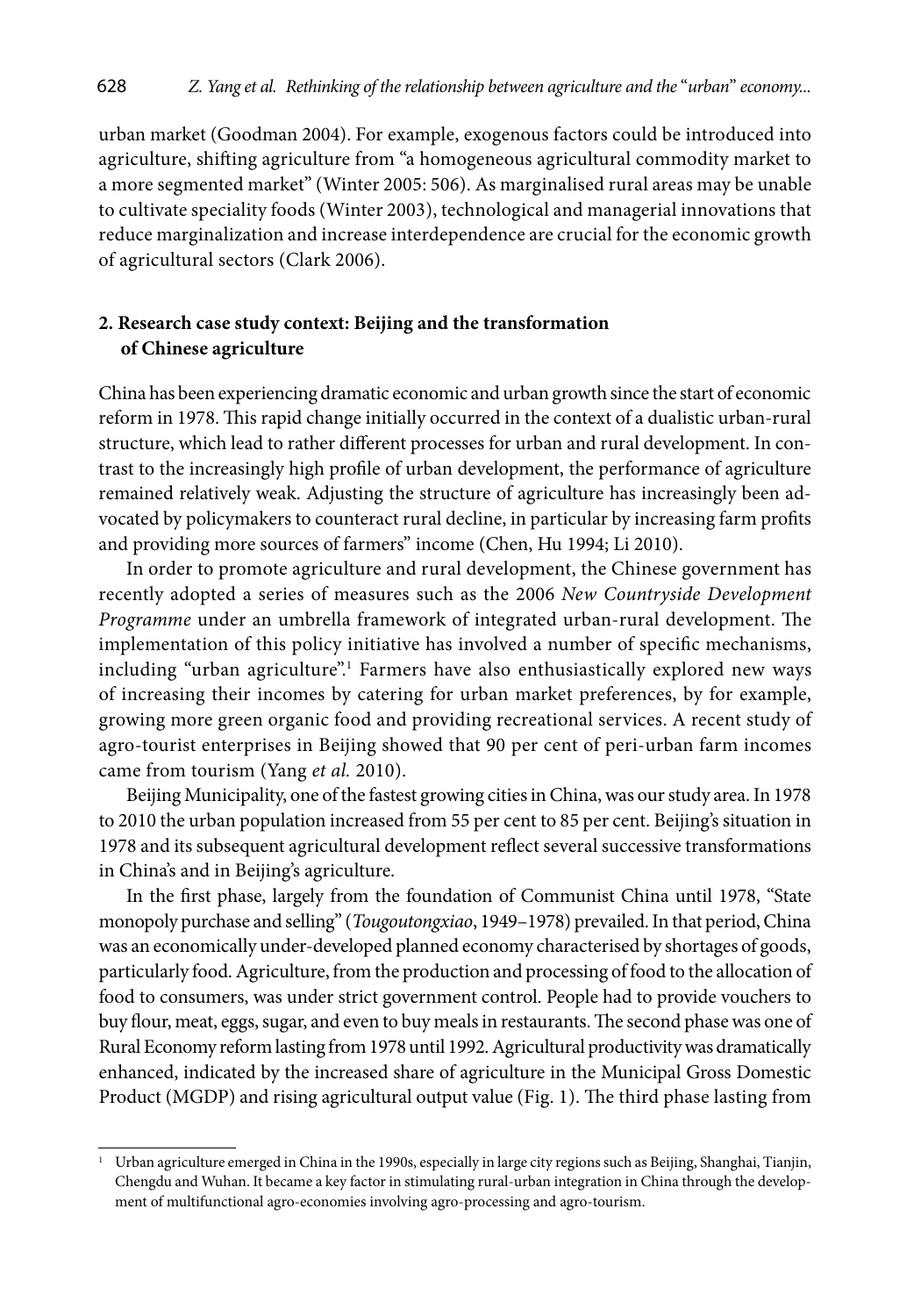urban market (Goodman 2004). For example, exogenous factors could be introduced into agriculture, shifting agriculture from "a homogeneous agricultural commodity market to a more segmented market" (Winter 2005: 506). As marginalised rural areas may be unable to cultivate speciality foods (Winter 2003), technological and managerial innovations that reduce marginalization and increase interdependence are crucial for the economic growth of agricultural sectors (Clark 2006).

## **2. Research case study context: Beijing and the transformation of Chinese agriculture**

China has been experiencing dramatic economic and urban growth since the start of economic reform in 1978. This rapid change initially occurred in the context of a dualistic urban-rural structure, which lead to rather different processes for urban and rural development. In contrast to the increasingly high profile of urban development, the performance of agriculture remained relatively weak. Adjusting the structure of agriculture has increasingly been advocated by policymakers to counteract rural decline, in particular by increasing farm profits and providing more sources of farmers" income (Chen, Hu 1994; Li 2010).

In order to promote agriculture and rural development, the Chinese government has recently adopted a series of measures such as the 2006 *New Countryside Development Programme* under an umbrella framework of integrated urban-rural development. The implementation of this policy initiative has involved a number of specific mechanisms, including "urban agriculture".1 Farmers have also enthusiastically explored new ways of increasing their incomes by catering for urban market preferences, by for example, growing more green organic food and providing recreational services. A recent study of agro-tourist enterprises in Beijing showed that 90 per cent of peri-urban farm incomes came from tourism (Yang *et al.* 2010).

Beijing Municipality, one of the fastest growing cities in China, was our study area. In 1978 to 2010 the urban population increased from 55 per cent to 85 per cent. Beijing's situation in 1978 and its subsequent agricultural development reflect several successive transformations in China's and in Beijing's agriculture.

In the first phase, largely from the foundation of Communist China until 1978, "State monopoly purchase and selling" (*Tougoutongxiao*, 1949–1978) prevailed. In that period, China was an economically under-developed planned economy characterised by shortages of goods, particularly food. Agriculture, from the production and processing of food to the allocation of food to consumers, was under strict government control. People had to provide vouchers to buy flour, meat, eggs, sugar, and even to buy meals in restaurants. The second phase was one of Rural Economy reform lasting from 1978 until 1992. Agricultural productivity was dramatically enhanced, indicated by the increased share of agriculture in the Municipal Gross Domestic Product (MGDP) and rising agricultural output value (Fig. 1). The third phase lasting from

<sup>1</sup> Urban agriculture emerged in China in the 1990s, especially in large city regions such as Beijing, Shanghai, Tianjin, Chengdu and Wuhan. It became a key factor in stimulating rural-urban integration in China through the development of multifunctional agro-economies involving agro-processing and agro-tourism.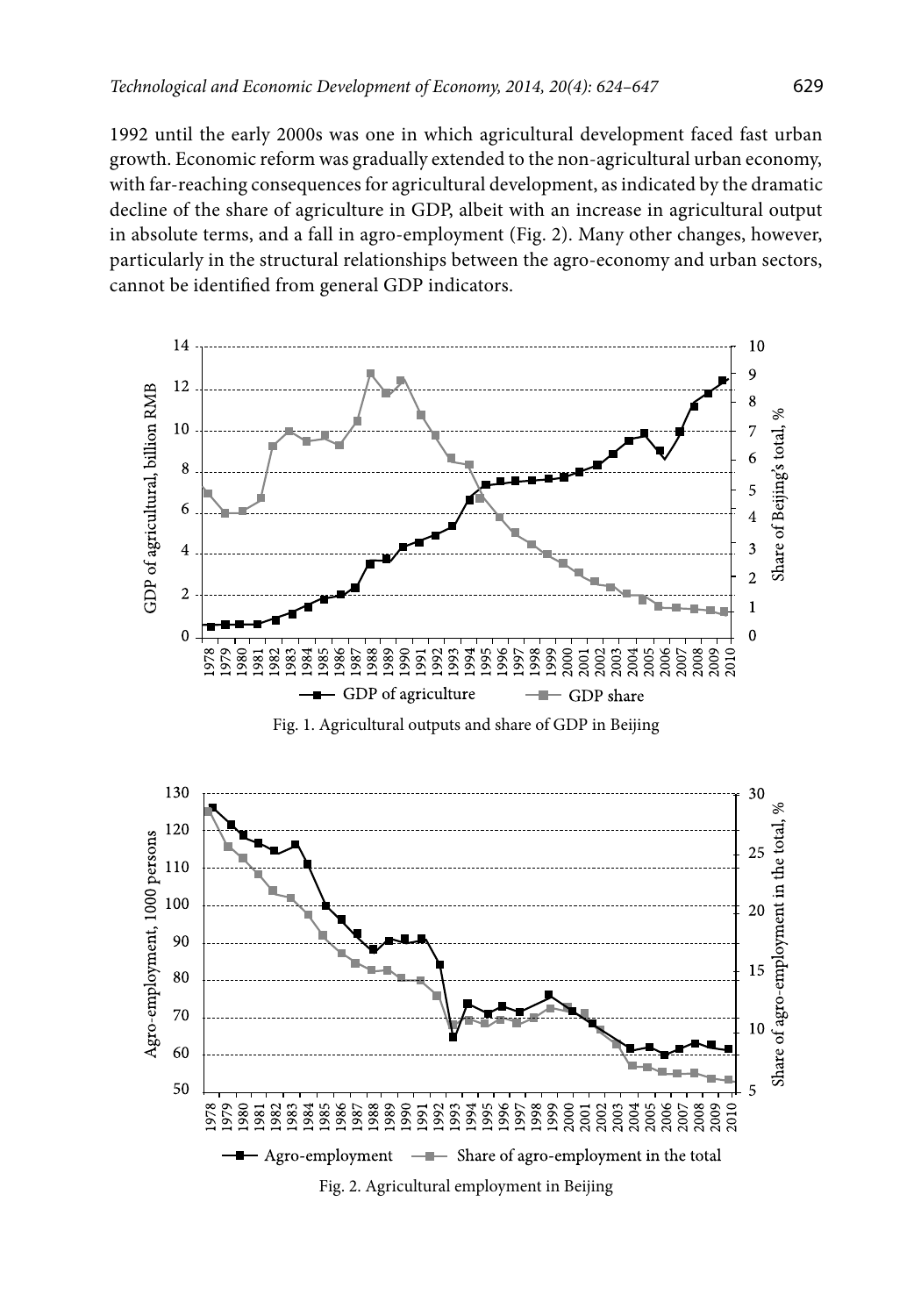1992 until the early 2000s was one in which agricultural development faced fast urban growth. Economic reform was gradually extended to the non-agricultural urban economy, with far-reaching consequences for agricultural development, as indicated by the dramatic decline of the share of agriculture in GDP, albeit with an increase in agricultural output in absolute terms, and a fall in agro-employment (Fig. 2). Many other changes, however, particularly in the structural relationships between the agro-economy and urban sectors, cannot be identified from general GDP indicators.



Fig. 1. Agricultural outputs and share of GDP in Beijing

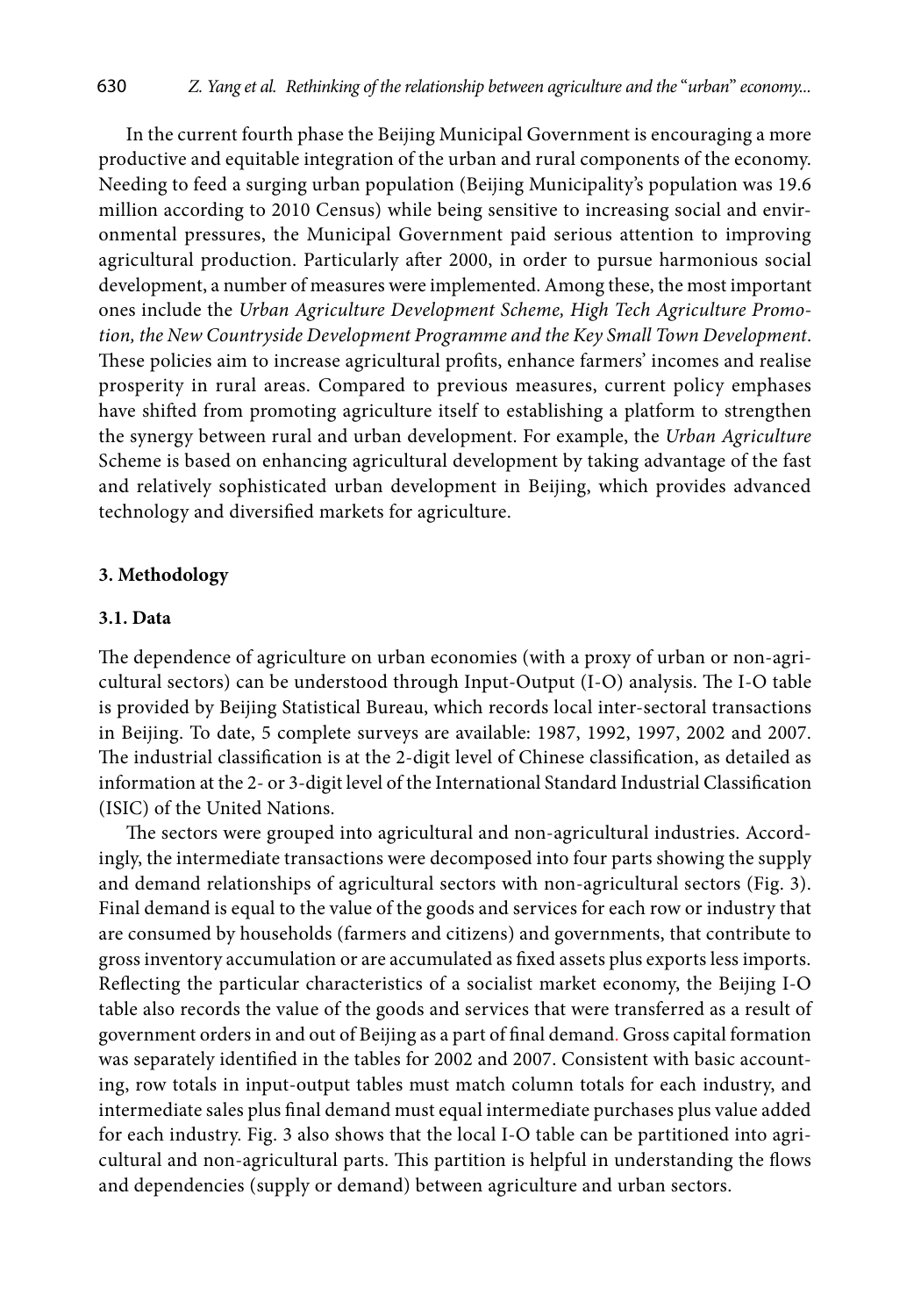In the current fourth phase the Beijing Municipal Government is encouraging a more productive and equitable integration of the urban and rural components of the economy. Needing to feed a surging urban population (Beijing Municipality's population was 19.6 million according to 2010 Census) while being sensitive to increasing social and environmental pressures, the Municipal Government paid serious attention to improving agricultural production. Particularly after 2000, in order to pursue harmonious social development, a number of measures were implemented. Among these, the most important ones include the *Urban Agriculture Development Scheme, High Tech Agriculture Promotion, the New Countryside Development Programme and the Key Small Town Development*. These policies aim to increase agricultural profits, enhance farmers' incomes and realise prosperity in rural areas. Compared to previous measures, current policy emphases have shifted from promoting agriculture itself to establishing a platform to strengthen the synergy between rural and urban development. For example, the *Urban Agriculture* Scheme is based on enhancing agricultural development by taking advantage of the fast and relatively sophisticated urban development in Beijing, which provides advanced technology and diversified markets for agriculture.

#### **3. Methodology**

#### **3.1. Data**

The dependence of agriculture on urban economies (with a proxy of urban or non-agricultural sectors) can be understood through Input-Output (I-O) analysis. The I-O table is provided by Beijing Statistical Bureau, which records local inter-sectoral transactions in Beijing. To date, 5 complete surveys are available: 1987, 1992, 1997, 2002 and 2007. The industrial classification is at the 2-digit level of Chinese classification, as detailed as information at the 2- or 3-digit level of the International Standard Industrial Classification (ISIC) of the United Nations.

The sectors were grouped into agricultural and non-agricultural industries. Accordingly, the intermediate transactions were decomposed into four parts showing the supply and demand relationships of agricultural sectors with non-agricultural sectors (Fig. 3). Final demand is equal to the value of the goods and services for each row or industry that are consumed by households (farmers and citizens) and governments, that contribute to gross inventory accumulation or are accumulated as fixed assets plus exports less imports. Reflecting the particular characteristics of a socialist market economy, the Beijing I-O table also records the value of the goods and services that were transferred as a result of government orders in and out of Beijing as a part of final demand. Gross capital formation was separately identified in the tables for 2002 and 2007. Consistent with basic accounting, row totals in input-output tables must match column totals for each industry, and intermediate sales plus final demand must equal intermediate purchases plus value added for each industry. Fig. 3 also shows that the local I-O table can be partitioned into agricultural and non-agricultural parts. This partition is helpful in understanding the flows and dependencies (supply or demand) between agriculture and urban sectors.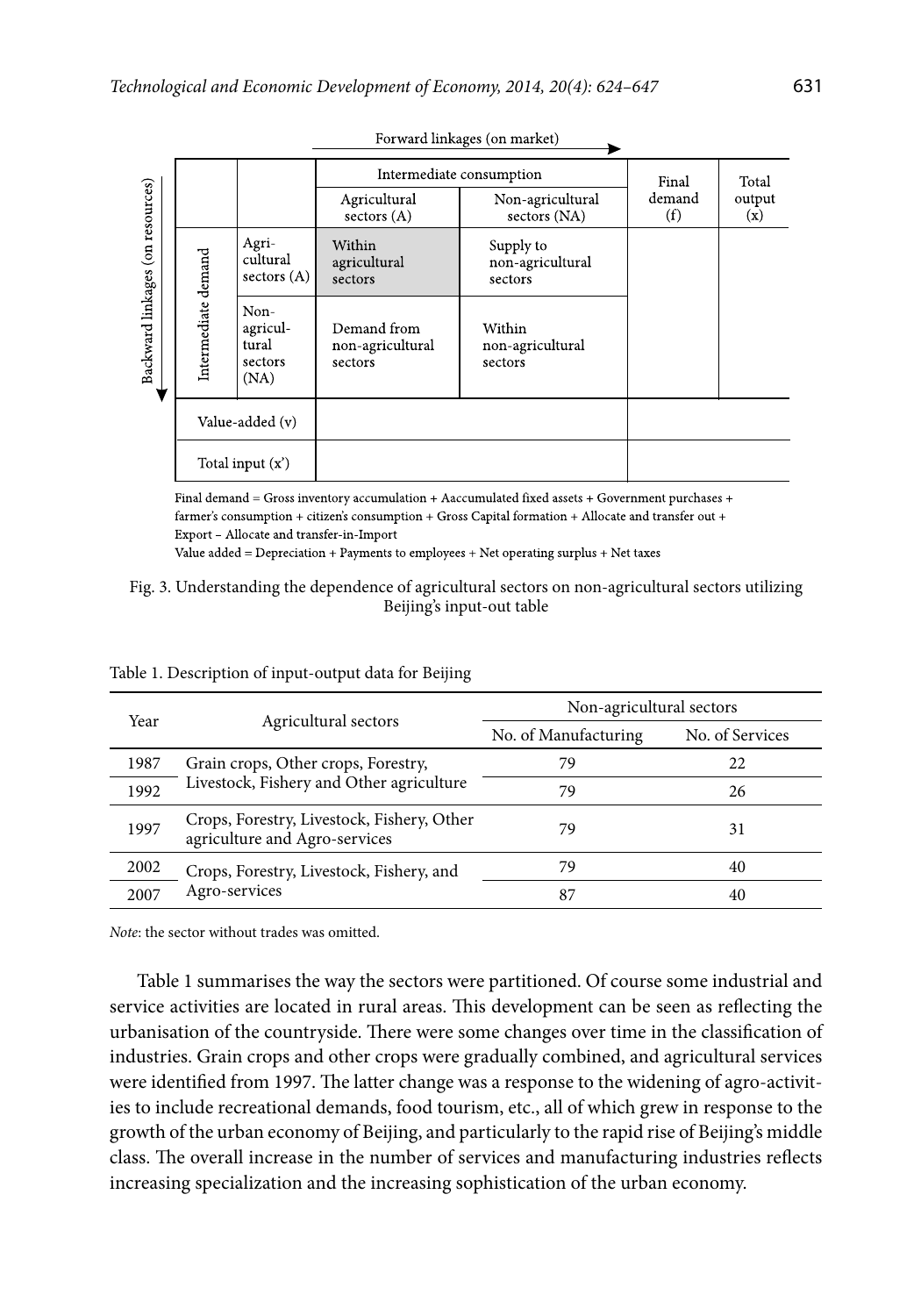

Forward linkages (on market)

Final demand = Gross inventory accumulation + Aaccumulated fixed assets + Government purchases + farmer's consumption + citizen's consumption + Gross Capital formation + Allocate and transfer out + Export - Allocate and transfer-in-Import

Value added = Depreciation + Payments to employees + Net operating surplus + Net taxes

#### Fig. 3. Understanding the dependence of agricultural sectors on non-agricultural sectors utilizing Beijing's input-out table

| Year |                                                                             | Non-agricultural sectors |                 |  |  |
|------|-----------------------------------------------------------------------------|--------------------------|-----------------|--|--|
|      | Agricultural sectors                                                        | No. of Manufacturing     | No. of Services |  |  |
| 1987 | Grain crops, Other crops, Forestry,                                         | 79                       | 22              |  |  |
| 1992 | Livestock, Fishery and Other agriculture                                    | 79                       | 26              |  |  |
| 1997 | Crops, Forestry, Livestock, Fishery, Other<br>agriculture and Agro-services | 79                       | 31              |  |  |
| 2002 | Crops, Forestry, Livestock, Fishery, and                                    | 79                       | 40              |  |  |
| 2007 | Agro-services                                                               | 87                       | 40              |  |  |

Table 1. Description of input-output data for Beijing

*Note*: the sector without trades was omitted.

Table 1 summarises the way the sectors were partitioned. Of course some industrial and service activities are located in rural areas. This development can be seen as reflecting the urbanisation of the countryside. There were some changes over time in the classification of industries. Grain crops and other crops were gradually combined, and agricultural services were identified from 1997. The latter change was a response to the widening of agro-activities to include recreational demands, food tourism, etc., all of which grew in response to the growth of the urban economy of Beijing, and particularly to the rapid rise of Beijing's middle class. The overall increase in the number of services and manufacturing industries reflects increasing specialization and the increasing sophistication of the urban economy.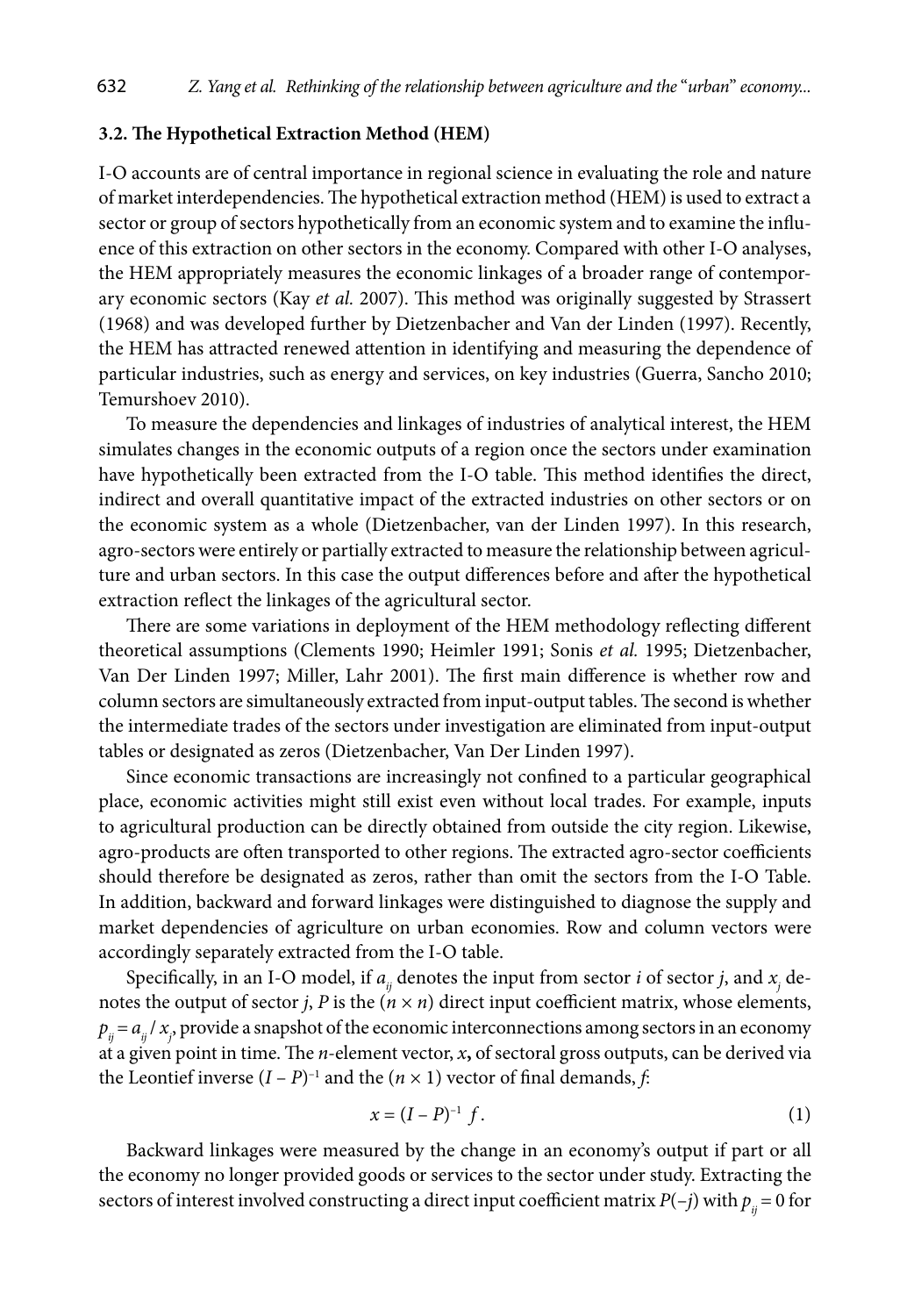#### **3.2. The Hypothetical Extraction Method (HEM)**

I-O accounts are of central importance in regional science in evaluating the role and nature of market interdependencies. The hypothetical extraction method (HEM) is used to extract a sector or group of sectors hypothetically from an economic system and to examine the influence of this extraction on other sectors in the economy. Compared with other I-O analyses, the HEM appropriately measures the economic linkages of a broader range of contemporary economic sectors (Kay *et al.* 2007). This method was originally suggested by Strassert (1968) and was developed further by Dietzenbacher and Van der Linden (1997). Recently, the HEM has attracted renewed attention in identifying and measuring the dependence of particular industries, such as energy and services, on key industries (Guerra, Sancho 2010; Temurshoev 2010).

To measure the dependencies and linkages of industries of analytical interest, the HEM simulates changes in the economic outputs of a region once the sectors under examination have hypothetically been extracted from the I-O table. This method identifies the direct, indirect and overall quantitative impact of the extracted industries on other sectors or on the economic system as a whole (Dietzenbacher, van der Linden 1997). In this research, agro-sectors were entirely or partially extracted to measure the relationship between agriculture and urban sectors. In this case the output differences before and after the hypothetical extraction reflect the linkages of the agricultural sector.

There are some variations in deployment of the HEM methodology reflecting different theoretical assumptions (Clements 1990; Heimler 1991; Sonis *et al.* 1995; Dietzenbacher, Van Der Linden 1997; Miller, Lahr 2001). The first main difference is whether row and column sectors are simultaneously extracted from input-output tables. The second is whether the intermediate trades of the sectors under investigation are eliminated from input-output tables or designated as zeros (Dietzenbacher, Van Der Linden 1997).

Since economic transactions are increasingly not confined to a particular geographical place, economic activities might still exist even without local trades. For example, inputs to agricultural production can be directly obtained from outside the city region. Likewise, agro-products are often transported to other regions. The extracted agro-sector coefficients should therefore be designated as zeros, rather than omit the sectors from the I-O Table. In addition, backward and forward linkages were distinguished to diagnose the supply and market dependencies of agriculture on urban economies. Row and column vectors were accordingly separately extracted from the I-O table.

Specifically, in an I-O model, if  $a_{ij}$  denotes the input from sector *i* of sector *j*, and  $x_j$  denotes the output of sector *j*, *P* is the  $(n \times n)$  direct input coefficient matrix, whose elements,  $p_{ij} = a_{ij}/x_j$ , provide a snapshot of the economic interconnections among sectors in an economy at a given point in time. The *n*-element vector, *x***,** of sectoral gross outputs, can be derived via the Leontief inverse  $(I - P)^{-1}$  and the  $(n \times 1)$  vector of final demands, *f*:

$$
x = (I - P)^{-1} f.
$$
 (1)

Backward linkages were measured by the change in an economy's output if part or all the economy no longer provided goods or services to the sector under study. Extracting the sectors of interest involved constructing a direct input coefficient matrix  $P(-j)$  with  $p_{ii} = 0$  for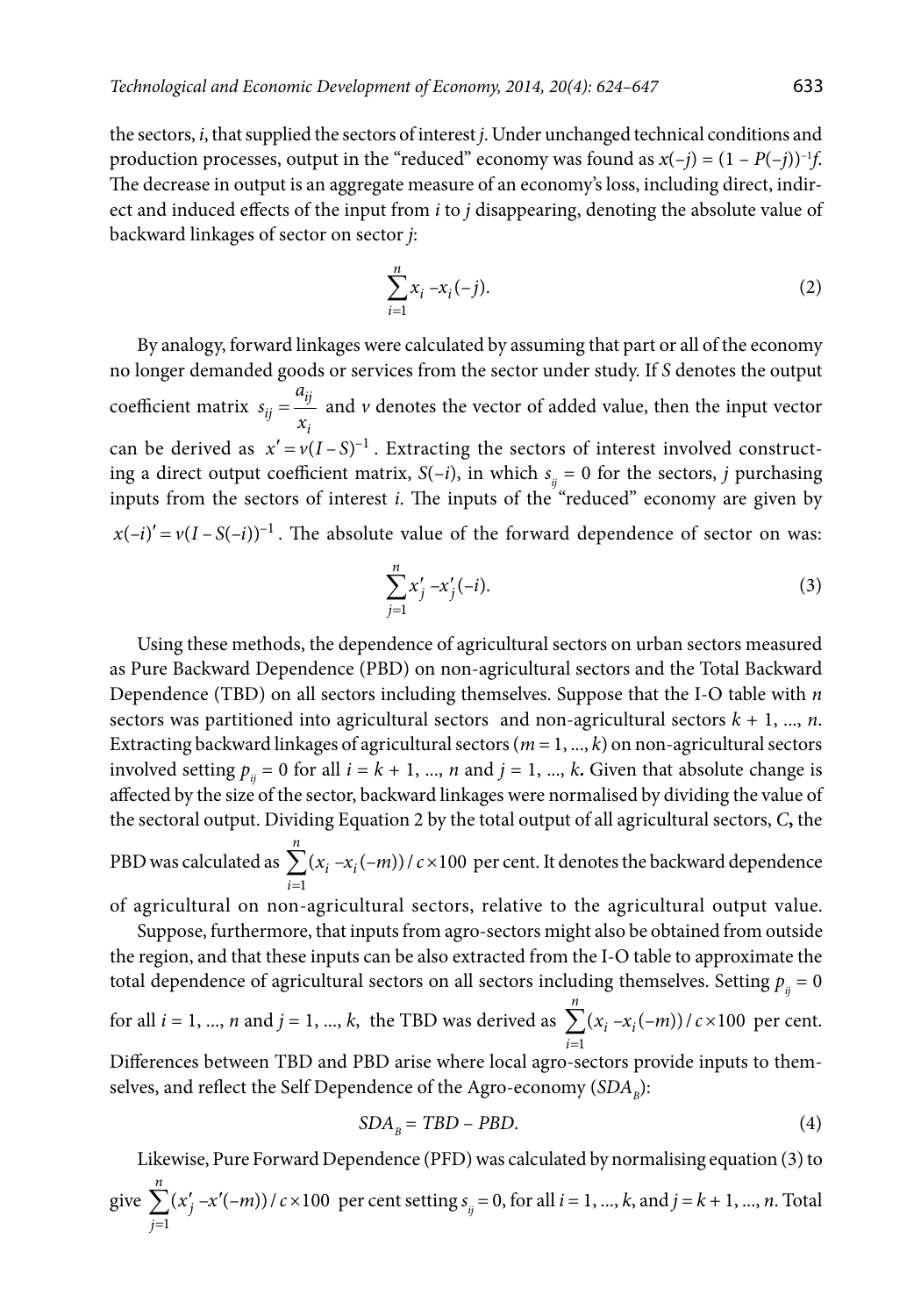the sectors, *i*, that supplied the sectors of interest *j*. Under unchanged technical conditions and production processes, output in the "reduced" economy was found as  $x(-j) = (1 - P(-j))^{-1}f$ . The decrease in output is an aggregate measure of an economy's loss, including direct, indirect and induced effects of the input from *i* to *j* disappearing, denoting the absolute value of backward linkages of sector on sector *j*:

$$
\sum_{i=1}^{n} x_i - x_i(-j). \tag{2}
$$

By analogy, forward linkages were calculated by assuming that part or all of the economy no longer demanded goods or services from the sector under study. If *S* denotes the output coefficient matrix  $s_{ij} = \frac{u_{ij}}{x}$ *i a*  $s_{ij} = \frac{v}{x_i}$  and *v* denotes the vector of added value, then the input vector can be derived as  $x' = v(I - S)^{-1}$ . Extracting the sectors of interest involved constructing a direct output coefficient matrix,  $S(-i)$ , in which  $s_{ij} = 0$  for the sectors, *j* purchasing inputs from the sectors of interest *i*. The inputs of the "reduced" economy are given by  $x(-i)' = v(I - S(-i))^{-1}$ . The absolute value of the forward dependence of sector on was:

$$
\sum_{j=1}^{n} x'_j - x'_j(-i). \tag{3}
$$

Using these methods, the dependence of agricultural sectors on urban sectors measured as Pure Backward Dependence (PBD) on non-agricultural sectors and the Total Backward Dependence (TBD) on all sectors including themselves. Suppose that the I-O table with *n* sectors was partitioned into agricultural sectors and non-agricultural sectors  $k + 1$ , ..., *n*. Extracting backward linkages of agricultural sectors (*m* = 1, ..., *k*) on non-agricultural sectors involved setting  $p_{ij} = 0$  for all  $i = k + 1, ..., n$  and  $j = 1, ..., k$ **.** Given that absolute change is affected by the size of the sector, backward linkages were normalised by dividing the value of the sectoral output. Dividing Equation 2 by the total output of all agricultural sectors, *C***,** the

PBD was calculated as 1  $(x_i - x_i(-m))/c \times 100$ *n*  $i^{-\lambda}$ *i i*  $x_i - x_i(-m)$ ) / c  $\sum_{i=1} (x_i - x_i(-m))/c \times 100$  per cent. It denotes the backward dependence

of agricultural on non-agricultural sectors, relative to the agricultural output value.

Suppose, furthermore, that inputs from agro-sectors might also be obtained from outside the region, and that these inputs can be also extracted from the I-O table to approximate the total dependence of agricultural sectors on all sectors including themselves. Setting  $p_{ij} = 0$ for all  $i = 1, ..., n$  and  $j = 1, ..., k$ , the TBD was derived as 1  $(x_i - x_i(-m))/c \times 100$ *n*  $i - \lambda_i$ *i*  $(x_i - x_i(-m))/c$  $\sum_{i=1}^{\infty} (x_i - x_i(-m))/c \times 100$  per cent. Differences between TBD and PBD arise where local agro-sectors provide inputs to themselves, and reflect the Self Dependence of the Agro-economy (SDA<sub>R</sub>):

$$
SDAB = TBD - PBD.
$$
 (4)

Likewise, Pure Forward Dependence (PFD) was calculated by normalising equation (3) to give 1  $(x'_i - x'(-m))/c \times 100$ *n j j*  $x'_i - x'(-m))$  / c  $\sum_{j=1}^n (x'_j - x'(-m))/c \times 100$  per cent setting  $s_{ij} = 0$ , for all  $i = 1, ..., k$ , and  $j = k + 1, ..., n$ . Total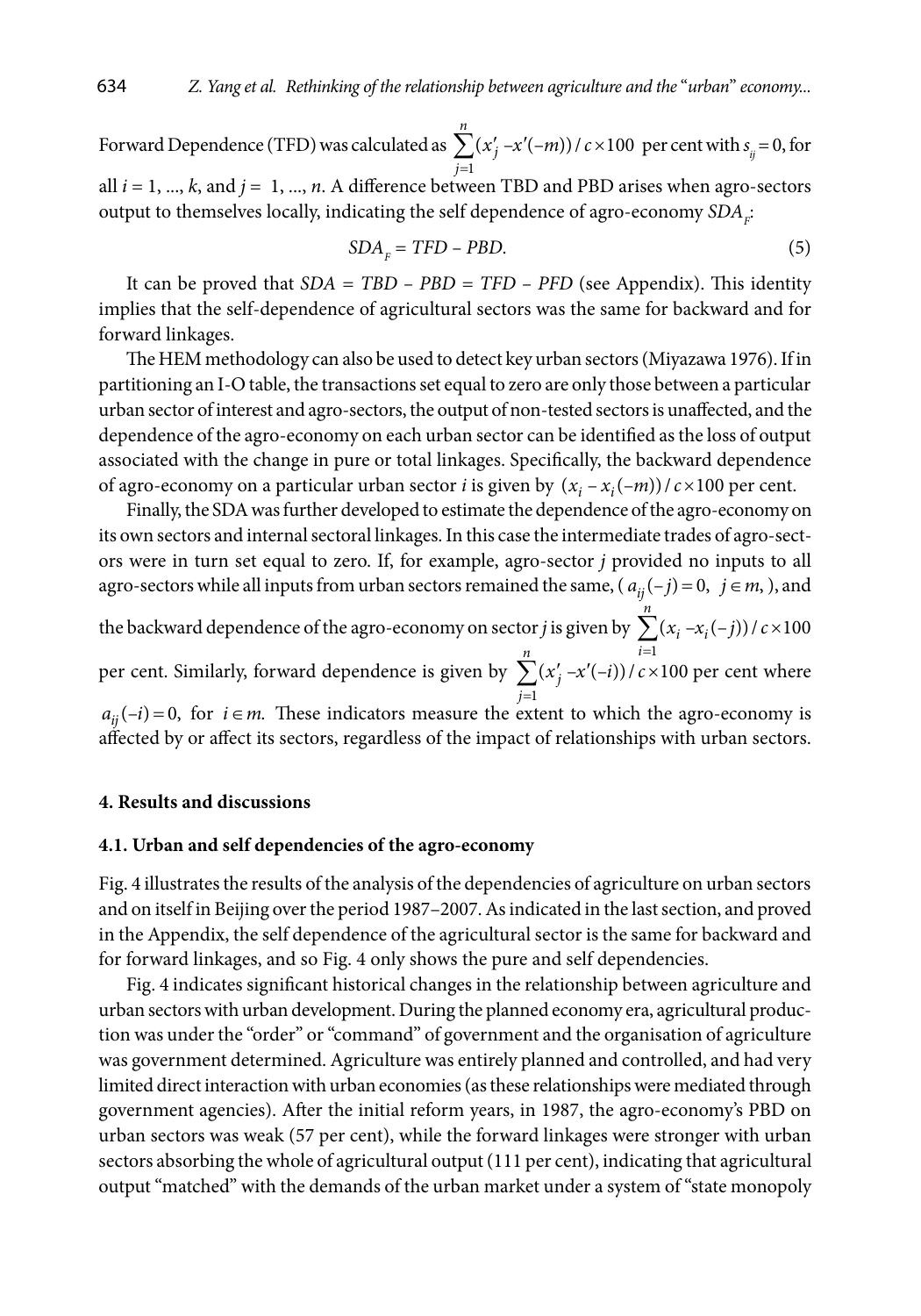#### Forward Dependence (TFD) was calculated as  $\sum (x'_i - x'(-m))/c \times 100$ 1 *j n*  $x'_{j}$  – $x'(-m)$ ) / c  $\sum_{j=1}^n (x'_j - x'(-m))/c \times 100$  per cent with  $s_{ij} = 0$ , for all *i* = 1, ..., *k*, and *j* = 1, ..., *n*. A difference between TBD and PBD arises when agro-sectors output to themselves locally, indicating the self dependence of agro-economy  $SDA<sub>F</sub>$ :

$$
SDAF = TFD - PBD.
$$
 (5)

It can be proved that *SDA = TBD – PBD = TFD – PFD* (see Appendix). This identity implies that the self-dependence of agricultural sectors was the same for backward and for forward linkages.

The HEM methodology can also be used to detect key urban sectors (Miyazawa 1976). If in partitioning an I-O table, the transactions set equal to zero are only those between a particular urban sector of interest and agro-sectors, the output of non-tested sectors is unaffected, and the dependence of the agro-economy on each urban sector can be identified as the loss of output associated with the change in pure or total linkages. Specifically, the backward dependence of agro-economy on a particular urban sector *i* is given by  $(x_i - x_i(-m))/c \times 100$  per cent.

Finally, the SDA was further developed to estimate the dependence of the agro-economy on its own sectors and internal sectoral linkages. In this case the intermediate trades of agro-sectors were in turn set equal to zero. If, for example, agro-sector *j* provided no inputs to all agro-sectors while all inputs from urban sectors remained the same, ( $a_{ii}(-j) = 0$ ,  $j \in m$ ,), and *n*

the backward dependence of the agro-economy on sector *j* is given by 1  $(x_i - x_i(-j))/c \times 100$  $i^{-\lambda}$ <sub>i</sub> *i*  $x_i - x_i(-j)$ ) / c  $\sum_{i=1} (x_i - x_i(-j)) / c \times$ *n*

per cent. Similarly, forward dependence is given by 1  $(x'_i - x'(-i))/c \times 100$ *j j*  $x'_{i}$   $-x'(-i)$ ) / c  $\sum_{j=1}$   $(x'_j - x'(-i))/c \times 100$  per cent where

 $a_{ii}(-i) = 0$ , for  $i \in m$ . These indicators measure the extent to which the agro-economy is affected by or affect its sectors, regardless of the impact of relationships with urban sectors.

#### **4. Results and discussions**

#### **4.1. Urban and self dependencies of the agro-economy**

Fig. 4 illustrates the results of the analysis of the dependencies of agriculture on urban sectors and on itself in Beijing over the period 1987–2007. As indicated in the last section, and proved in the Appendix, the self dependence of the agricultural sector is the same for backward and for forward linkages, and so Fig. 4 only shows the pure and self dependencies.

Fig. 4 indicates significant historical changes in the relationship between agriculture and urban sectors with urban development. During the planned economy era, agricultural production was under the "order" or "command" of government and the organisation of agriculture was government determined. Agriculture was entirely planned and controlled, and had very limited direct interaction with urban economies (as these relationships were mediated through government agencies). After the initial reform years, in 1987, the agro-economy's PBD on urban sectors was weak (57 per cent), while the forward linkages were stronger with urban sectors absorbing the whole of agricultural output (111 per cent), indicating that agricultural output "matched" with the demands of the urban market under a system of "state monopoly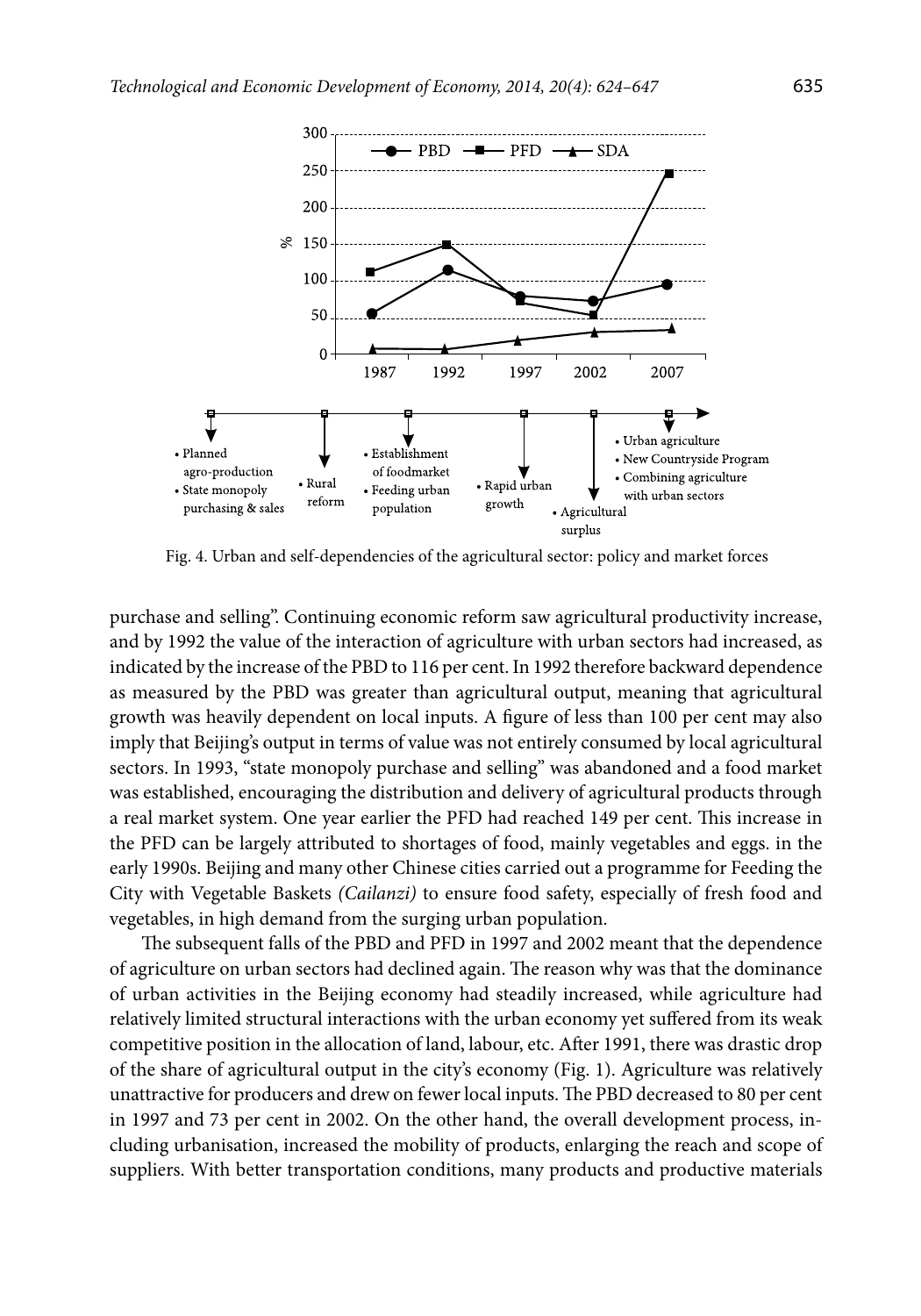

Fig. 4. Urban and self-dependencies of the agricultural sector: policy and market forces

purchase and selling". Continuing economic reform saw agricultural productivity increase, and by 1992 the value of the interaction of agriculture with urban sectors had increased, as indicated by the increase of the PBD to 116 per cent. In 1992 therefore backward dependence as measured by the PBD was greater than agricultural output, meaning that agricultural growth was heavily dependent on local inputs. A figure of less than 100 per cent may also imply that Beijing's output in terms of value was not entirely consumed by local agricultural sectors. In 1993, "state monopoly purchase and selling" was abandoned and a food market was established, encouraging the distribution and delivery of agricultural products through a real market system. One year earlier the PFD had reached 149 per cent. This increase in the PFD can be largely attributed to shortages of food, mainly vegetables and eggs. in the early 1990s. Beijing and many other Chinese cities carried out a programme for Feeding the City with Vegetable Baskets *(Cailanzi)* to ensure food safety, especially of fresh food and vegetables, in high demand from the surging urban population.

 The subsequent falls of the PBD and PFD in 1997 and 2002 meant that the dependence of agriculture on urban sectors had declined again. The reason why was that the dominance of urban activities in the Beijing economy had steadily increased, while agriculture had relatively limited structural interactions with the urban economy yet suffered from its weak competitive position in the allocation of land, labour, etc. After 1991, there was drastic drop of the share of agricultural output in the city's economy (Fig. 1). Agriculture was relatively unattractive for producers and drew on fewer local inputs. The PBD decreased to 80 per cent in 1997 and 73 per cent in 2002. On the other hand, the overall development process, including urbanisation, increased the mobility of products, enlarging the reach and scope of suppliers. With better transportation conditions, many products and productive materials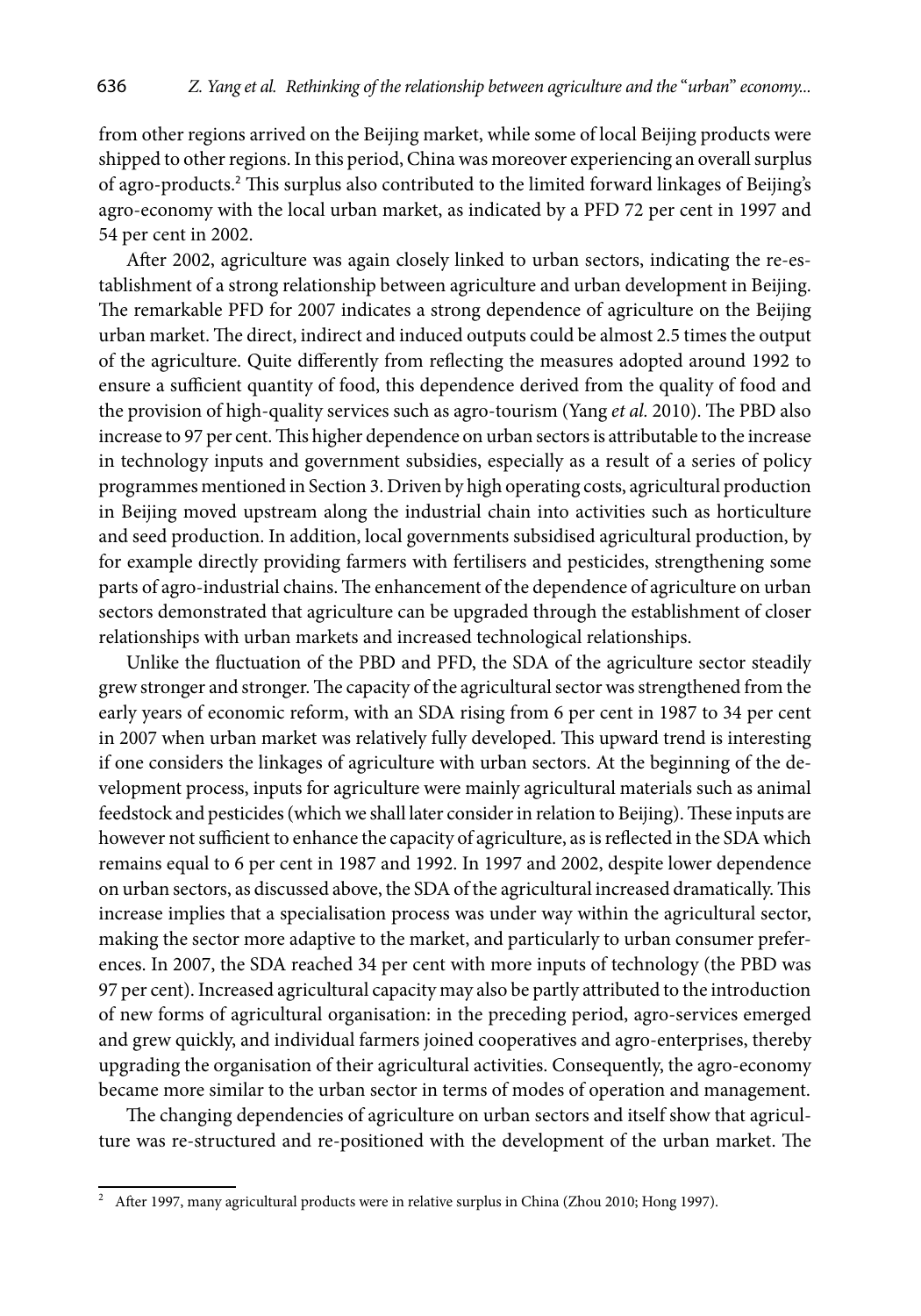from other regions arrived on the Beijing market, while some of local Beijing products were shipped to other regions. In this period, China was moreover experiencing an overall surplus of agro-products.<sup>2</sup> This surplus also contributed to the limited forward linkages of Beijing's agro-economy with the local urban market, as indicated by a PFD 72 per cent in 1997 and 54 per cent in 2002.

After 2002, agriculture was again closely linked to urban sectors, indicating the re-establishment of a strong relationship between agriculture and urban development in Beijing. The remarkable PFD for 2007 indicates a strong dependence of agriculture on the Beijing urban market. The direct, indirect and induced outputs could be almost 2.5 times the output of the agriculture. Quite differently from reflecting the measures adopted around 1992 to ensure a sufficient quantity of food, this dependence derived from the quality of food and the provision of high-quality services such as agro-tourism (Yang *et al.* 2010). The PBD also increase to 97 per cent. This higher dependence on urban sectors is attributable to the increase in technology inputs and government subsidies, especially as a result of a series of policy programmes mentioned in Section 3. Driven by high operating costs, agricultural production in Beijing moved upstream along the industrial chain into activities such as horticulture and seed production. In addition, local governments subsidised agricultural production, by for example directly providing farmers with fertilisers and pesticides, strengthening some parts of agro-industrial chains. The enhancement of the dependence of agriculture on urban sectors demonstrated that agriculture can be upgraded through the establishment of closer relationships with urban markets and increased technological relationships.

Unlike the fluctuation of the PBD and PFD, the SDA of the agriculture sector steadily grew stronger and stronger. The capacity of the agricultural sector was strengthened from the early years of economic reform, with an SDA rising from 6 per cent in 1987 to 34 per cent in 2007 when urban market was relatively fully developed. This upward trend is interesting if one considers the linkages of agriculture with urban sectors. At the beginning of the development process, inputs for agriculture were mainly agricultural materials such as animal feedstock and pesticides (which we shall later consider in relation to Beijing). These inputs are however not sufficient to enhance the capacity of agriculture, as is reflected in the SDA which remains equal to 6 per cent in 1987 and 1992. In 1997 and 2002, despite lower dependence on urban sectors, as discussed above, the SDA of the agricultural increased dramatically. This increase implies that a specialisation process was under way within the agricultural sector, making the sector more adaptive to the market, and particularly to urban consumer preferences. In 2007, the SDA reached 34 per cent with more inputs of technology (the PBD was 97 per cent). Increased agricultural capacity may also be partly attributed to the introduction of new forms of agricultural organisation: in the preceding period, agro-services emerged and grew quickly, and individual farmers joined cooperatives and agro-enterprises, thereby upgrading the organisation of their agricultural activities. Consequently, the agro-economy became more similar to the urban sector in terms of modes of operation and management.

The changing dependencies of agriculture on urban sectors and itself show that agriculture was re-structured and re-positioned with the development of the urban market. The

<sup>&</sup>lt;sup>2</sup> After 1997, many agricultural products were in relative surplus in China (Zhou 2010; Hong 1997).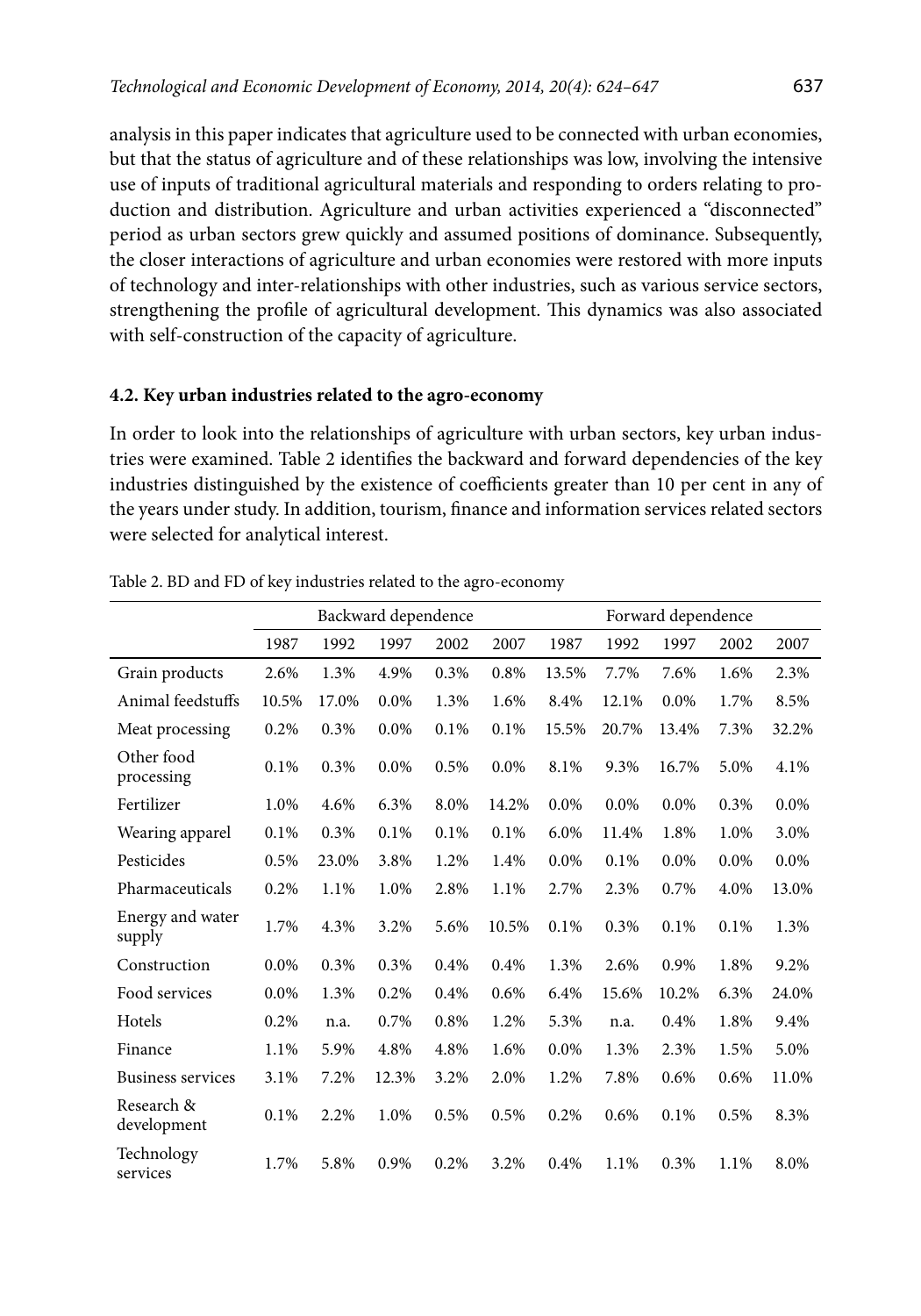analysis in this paper indicates that agriculture used to be connected with urban economies, but that the status of agriculture and of these relationships was low, involving the intensive use of inputs of traditional agricultural materials and responding to orders relating to production and distribution. Agriculture and urban activities experienced a "disconnected" period as urban sectors grew quickly and assumed positions of dominance. Subsequently, the closer interactions of agriculture and urban economies were restored with more inputs of technology and inter-relationships with other industries, such as various service sectors, strengthening the profile of agricultural development. This dynamics was also associated with self-construction of the capacity of agriculture.

### **4.2. Key urban industries related to the agro-economy**

In order to look into the relationships of agriculture with urban sectors, key urban industries were examined. Table 2 identifies the backward and forward dependencies of the key industries distinguished by the existence of coefficients greater than 10 per cent in any of the years under study. In addition, tourism, finance and information services related sectors were selected for analytical interest.

|                            |       |       | Backward dependence |      |       |         |       | Forward dependence |      |         |
|----------------------------|-------|-------|---------------------|------|-------|---------|-------|--------------------|------|---------|
|                            | 1987  | 1992  | 1997                | 2002 | 2007  | 1987    | 1992  | 1997               | 2002 | 2007    |
| Grain products             | 2.6%  | 1.3%  | 4.9%                | 0.3% | 0.8%  | 13.5%   | 7.7%  | 7.6%               | 1.6% | 2.3%    |
| Animal feedstuffs          | 10.5% | 17.0% | $0.0\%$             | 1.3% | 1.6%  | 8.4%    | 12.1% | $0.0\%$            | 1.7% | 8.5%    |
| Meat processing            | 0.2%  | 0.3%  | 0.0%                | 0.1% | 0.1%  | 15.5%   | 20.7% | 13.4%              | 7.3% | 32.2%   |
| Other food<br>processing   | 0.1%  | 0.3%  | 0.0%                | 0.5% | 0.0%  | 8.1%    | 9.3%  | 16.7%              | 5.0% | 4.1%    |
| Fertilizer                 | 1.0%  | 4.6%  | 6.3%                | 8.0% | 14.2% | $0.0\%$ | 0.0%  | 0.0%               | 0.3% | 0.0%    |
| Wearing apparel            | 0.1%  | 0.3%  | 0.1%                | 0.1% | 0.1%  | 6.0%    | 11.4% | 1.8%               | 1.0% | 3.0%    |
| Pesticides                 | 0.5%  | 23.0% | 3.8%                | 1.2% | 1.4%  | 0.0%    | 0.1%  | 0.0%               | 0.0% | $0.0\%$ |
| Pharmaceuticals            | 0.2%  | 1.1%  | 1.0%                | 2.8% | 1.1%  | 2.7%    | 2.3%  | 0.7%               | 4.0% | 13.0%   |
| Energy and water<br>supply | 1.7%  | 4.3%  | 3.2%                | 5.6% | 10.5% | 0.1%    | 0.3%  | 0.1%               | 0.1% | 1.3%    |
| Construction               | 0.0%  | 0.3%  | 0.3%                | 0.4% | 0.4%  | 1.3%    | 2.6%  | 0.9%               | 1.8% | 9.2%    |
| Food services              | 0.0%  | 1.3%  | 0.2%                | 0.4% | 0.6%  | 6.4%    | 15.6% | 10.2%              | 6.3% | 24.0%   |
| Hotels                     | 0.2%  | n.a.  | 0.7%                | 0.8% | 1.2%  | 5.3%    | n.a.  | 0.4%               | 1.8% | 9.4%    |
| Finance                    | 1.1%  | 5.9%  | 4.8%                | 4.8% | 1.6%  | 0.0%    | 1.3%  | 2.3%               | 1.5% | 5.0%    |
| <b>Business services</b>   | 3.1%  | 7.2%  | 12.3%               | 3.2% | 2.0%  | 1.2%    | 7.8%  | 0.6%               | 0.6% | 11.0%   |
| Research &<br>development  | 0.1%  | 2.2%  | 1.0%                | 0.5% | 0.5%  | 0.2%    | 0.6%  | 0.1%               | 0.5% | 8.3%    |
| Technology<br>services     | 1.7%  | 5.8%  | 0.9%                | 0.2% | 3.2%  | 0.4%    | 1.1%  | 0.3%               | 1.1% | 8.0%    |

Table 2. BD and FD of key industries related to the agro-economy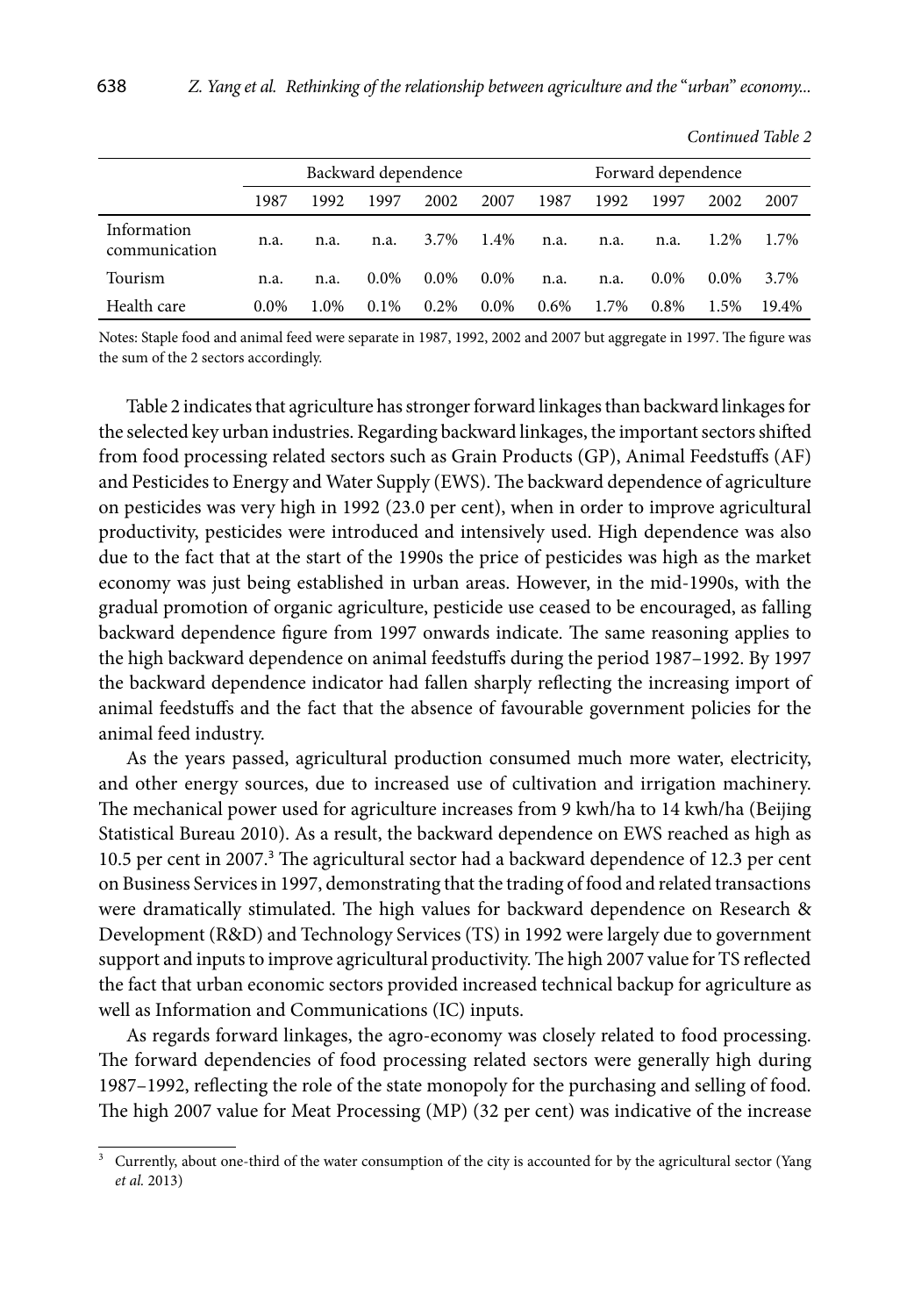|                              | Backward dependence |      |         |         | Forward dependence |         |      |         |         |       |
|------------------------------|---------------------|------|---------|---------|--------------------|---------|------|---------|---------|-------|
|                              | 1987                | 1992 | 1997    | 2002    | 2007               | 1987    | 1992 | 1997    | 2002    | 2007  |
| Information<br>communication | n.a.                | n.a. | n.a.    | 3.7%    | 1.4%               | n.a.    | n.a. | n.a.    | 1.2%    | 1.7%  |
| Tourism                      | n.a.                | n.a. | $0.0\%$ | $0.0\%$ | $0.0\%$            | n.a.    | n.a. | $0.0\%$ | $0.0\%$ | 3.7%  |
| Health care                  | $0.0\%$             | 1.0% | $0.1\%$ | $0.2\%$ | $0.0\%$            | $0.6\%$ | 1.7% | $0.8\%$ | 1.5%    | 19.4% |

*Continued Table 2*

Notes: Staple food and animal feed were separate in 1987, 1992, 2002 and 2007 but aggregate in 1997. The figure was the sum of the 2 sectors accordingly.

Table 2 indicates that agriculture has stronger forward linkages than backward linkages for the selected key urban industries. Regarding backward linkages, the important sectors shifted from food processing related sectors such as Grain Products (GP), Animal Feedstuffs (AF) and Pesticides to Energy and Water Supply (EWS). The backward dependence of agriculture on pesticides was very high in 1992 (23.0 per cent), when in order to improve agricultural productivity, pesticides were introduced and intensively used. High dependence was also due to the fact that at the start of the 1990s the price of pesticides was high as the market economy was just being established in urban areas. However, in the mid-1990s, with the gradual promotion of organic agriculture, pesticide use ceased to be encouraged, as falling backward dependence figure from 1997 onwards indicate. The same reasoning applies to the high backward dependence on animal feedstuffs during the period 1987–1992. By 1997 the backward dependence indicator had fallen sharply reflecting the increasing import of animal feedstuffs and the fact that the absence of favourable government policies for the animal feed industry.

As the years passed, agricultural production consumed much more water, electricity, and other energy sources, due to increased use of cultivation and irrigation machinery. The [mechanical power](dict://key.0895DFE8DB67F9409DB285590D870EDD/mechanical power) used for agriculture increases from 9 kwh/ha to 14 kwh/ha (Beijing Statistical Bureau 2010). As a result, the backward dependence on EWS reached as high as 10.5 per cent in 2007.<sup>3</sup> The agricultural sector had a backward dependence of 12.3 per cent on Business Services in 1997, demonstrating that the trading of food and related transactions were dramatically stimulated. The high values for backward dependence on Research & Development (R&D) and Technology Services (TS) in 1992 were largely due to government support and inputs to improve agricultural productivity. The high 2007 value for TS reflected the fact that urban economic sectors provided increased technical backup for agriculture as well as Information and Communications (IC) inputs.

As regards forward linkages, the agro-economy was closely related to food processing. The forward dependencies of food processing related sectors were generally high during 1987–1992, reflecting the role of the state monopoly for the purchasing and selling of food. The high 2007 value for Meat Processing (MP) (32 per cent) was indicative of the increase

<sup>3</sup> Currently, about one-third of the water consumption of the city is accounted for by the agricultural sector (Yang *et al.* 2013)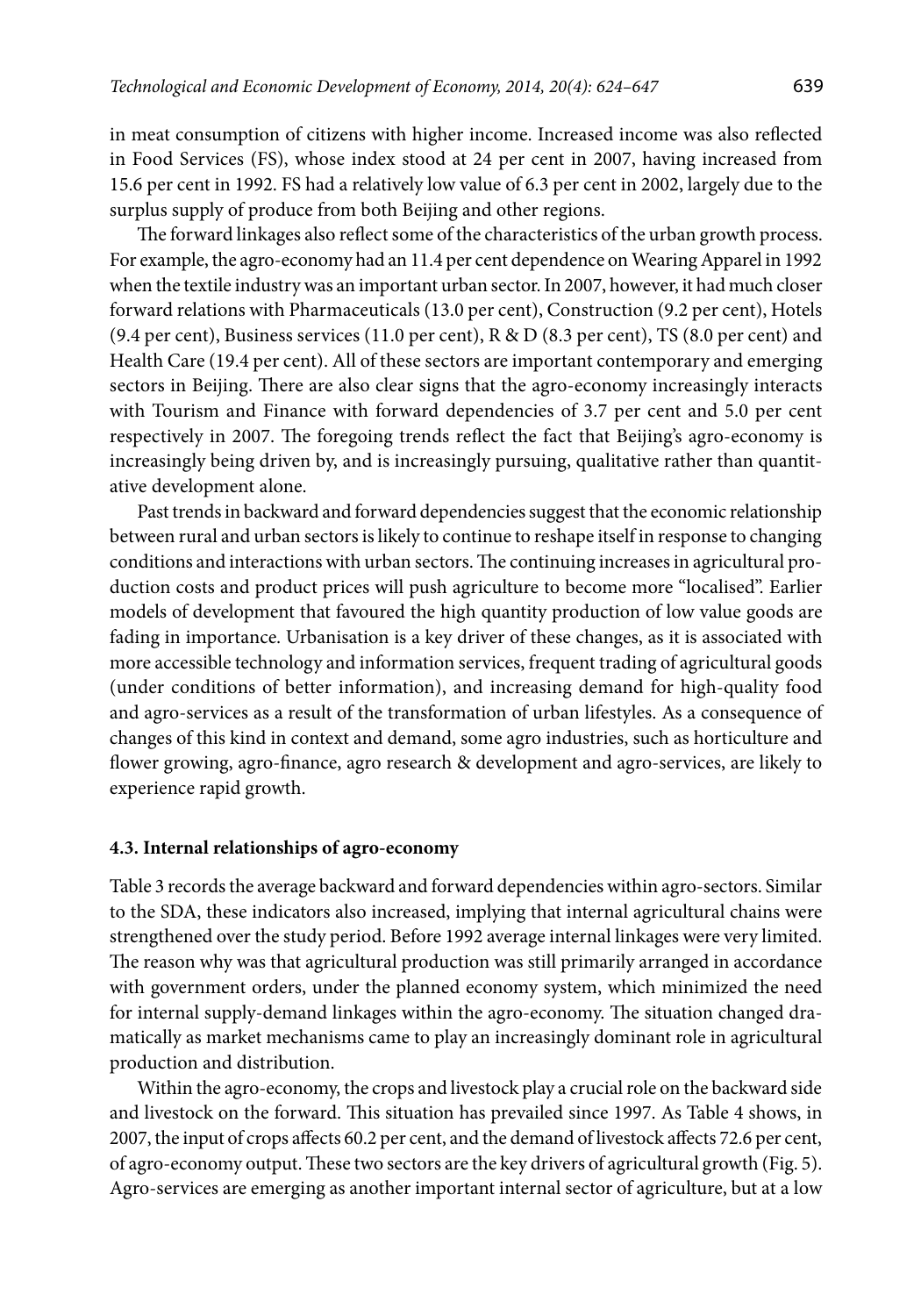in meat consumption of citizens with higher income. Increased income was also reflected in Food Services (FS), whose index stood at 24 per cent in 2007, having increased from 15.6 per cent in 1992. FS had a relatively low value of 6.3 per cent in 2002, largely due to the surplus supply of produce from both Beijing and other regions.

The forward linkages also reflect some of the characteristics of the urban growth process. For example, the agro-economy had an 11.4 per cent dependence on Wearing Apparel in 1992 when the textile industry was an important urban sector. In 2007, however, it had much closer forward relations with Pharmaceuticals (13.0 per cent), Construction (9.2 per cent), Hotels (9.4 per cent), Business services (11.0 per cent), R & D (8.3 per cent), TS (8.0 per cent) and Health Care (19.4 per cent). All of these sectors are important contemporary and emerging sectors in Beijing. There are also clear signs that the agro-economy increasingly interacts with Tourism and Finance with forward dependencies of 3.7 per cent and 5.0 per cent respectively in 2007. The foregoing trends reflect the fact that Beijing's agro-economy is increasingly being driven by, and is increasingly pursuing, qualitative rather than quantitative development alone.

Past trends in backward and forward dependencies suggest that the economic relationship between rural and urban sectors is likely to continue to reshape itself in response to changing conditions and interactions with urban sectors. The continuing increases in agricultural production costs and product prices will push agriculture to become more "localised". Earlier models of development that favoured the high quantity production of low value goods are fading in importance. Urbanisation is a key driver of these changes, as it is associated with more accessible technology and information services, frequent trading of agricultural goods (under conditions of better information), and increasing demand for high-quality food and agro-services as a result of the transformation of urban lifestyles. As a consequence of changes of this kind in context and demand, some agro industries, such as horticulture and flower growing, agro-finance, agro research & development and agro-services, are likely to experience rapid growth.

## **4.3. Internal relationships of agro-economy**

Table 3 records the average backward and forward dependencies within agro-sectors. Similar to the SDA, these indicators also increased, implying that internal agricultural chains were strengthened over the study period. Before 1992 average internal linkages were very limited. The reason why was that agricultural production was still primarily arranged in accordance with government orders, under the planned economy system, which minimized the need for internal supply-demand linkages within the agro-economy. The situation changed dramatically as market mechanisms came to play an increasingly dominant role in agricultural production and distribution.

Within the agro-economy, the crops and livestock play a crucial role on the backward side and livestock on the forward. This situation has prevailed since 1997. As Table 4 shows, in 2007, the input of crops affects 60.2 per cent, and the demand of livestock affects 72.6 per cent, of agro-economy output. These two sectors are the key drivers of agricultural growth (Fig. 5). Agro-services are emerging as another important internal sector of agriculture, but at a low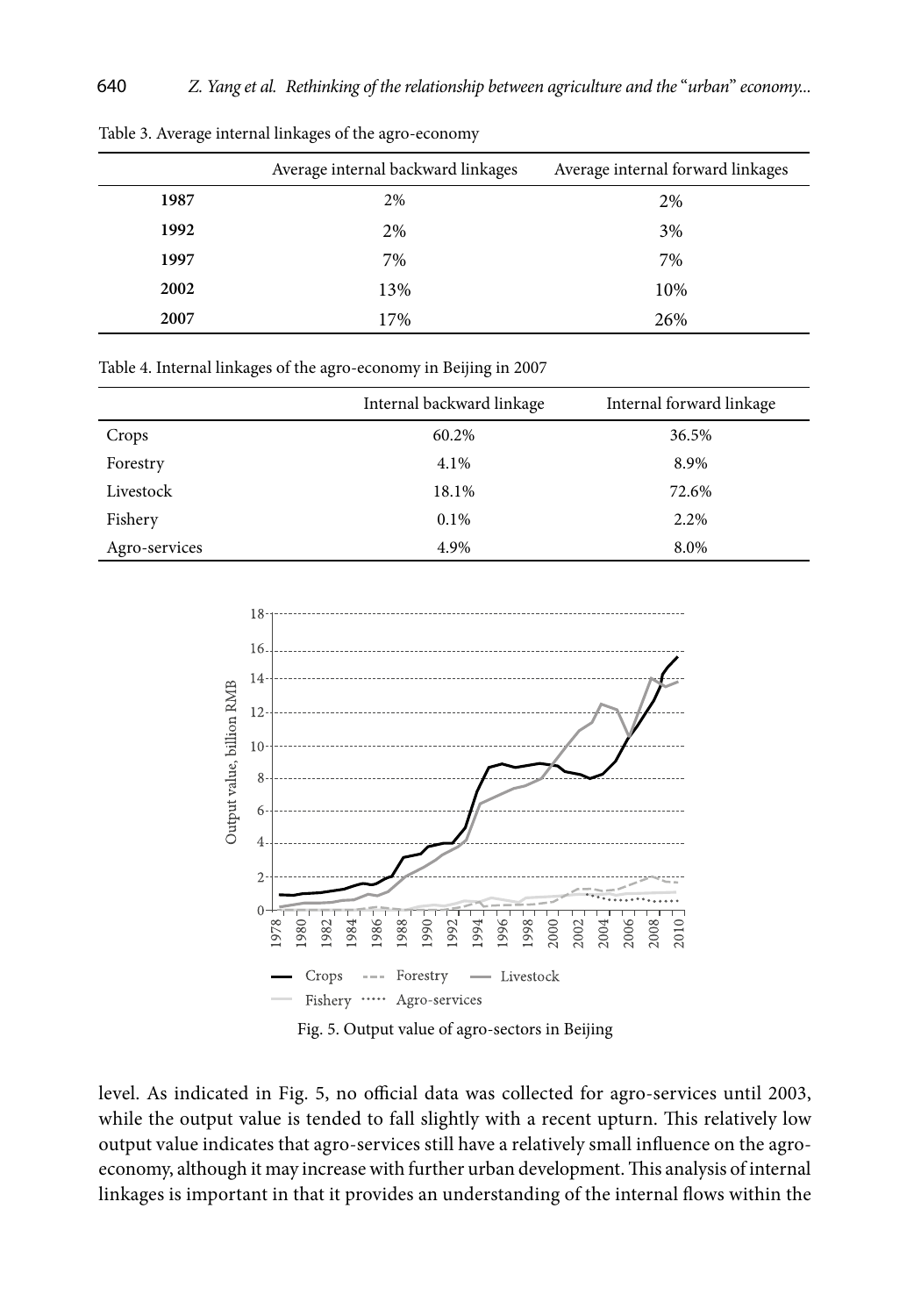|      | Average internal backward linkages | Average internal forward linkages |
|------|------------------------------------|-----------------------------------|
| 1987 | 2%                                 | 2%                                |
| 1992 | 2%                                 | 3%                                |
| 1997 | 7%                                 | 7%                                |
| 2002 | 13%                                | 10%                               |
| 2007 | 17%                                | 26%                               |

Table 3. Average internal linkages of the agro-economy

Table 4. Internal linkages of the agro-economy in Beijing in 2007

|               | Internal backward linkage | Internal forward linkage |
|---------------|---------------------------|--------------------------|
| Crops         | 60.2%                     | 36.5%                    |
| Forestry      | 4.1%                      | 8.9%                     |
| Livestock     | 18.1%                     | 72.6%                    |
| Fishery       | 0.1%                      | 2.2%                     |
| Agro-services | 4.9%                      | 8.0%                     |



Fig. 5. Output value of agro-sectors in Beijing

level. As indicated in Fig. 5, no official data was collected for agro-services until 2003, while the output value is tended to fall slightly with a recent upturn. This relatively low output value indicates that agro-services still have a relatively small influence on the agroeconomy, although it may increase with further urban development. This analysis of internal linkages is important in that it provides an understanding of the internal flows within the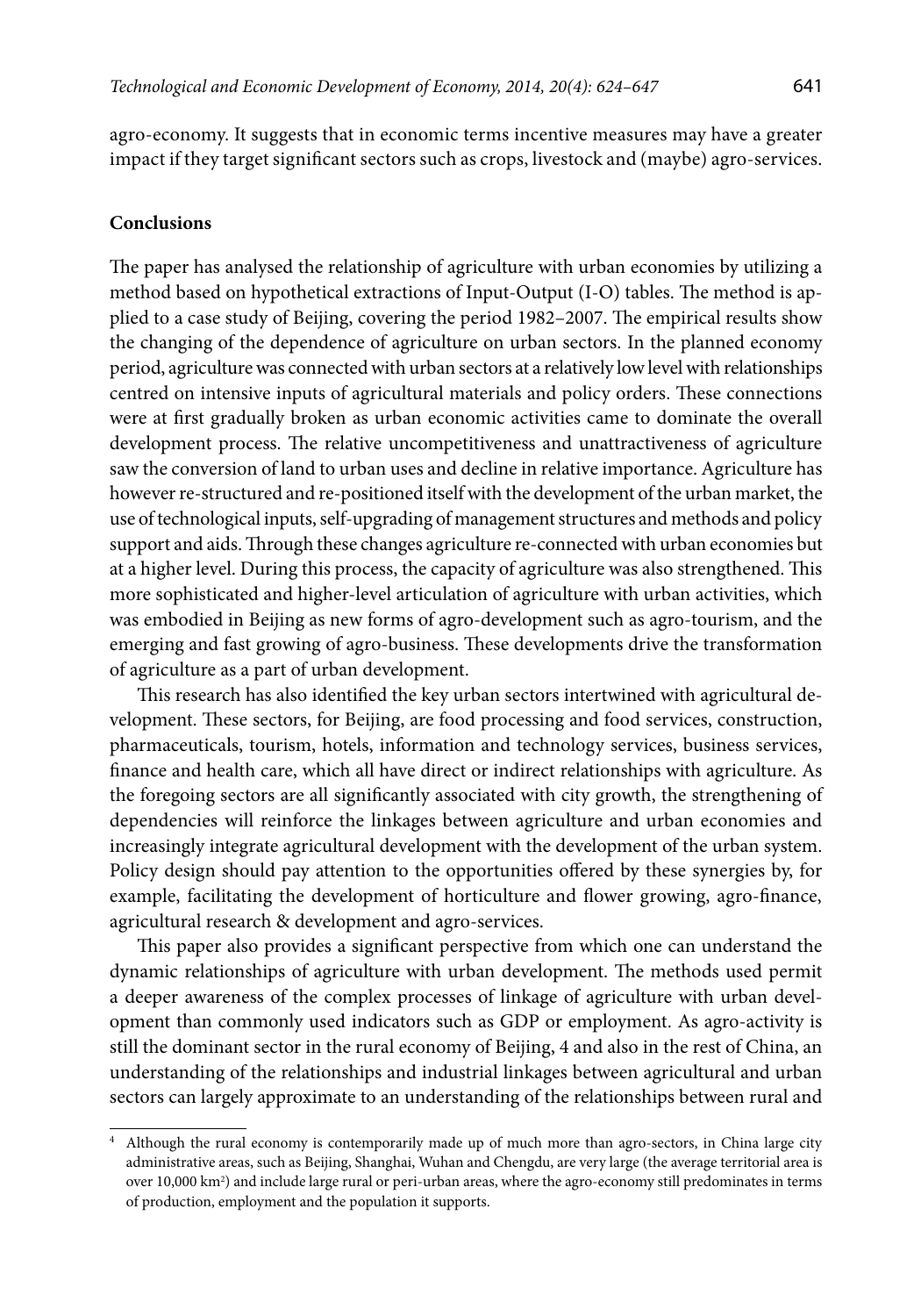agro-economy. It suggests that in economic terms incentive measures may have a greater impact if they target significant sectors such as crops, livestock and (maybe) agro-services.

#### **Conclusions**

The paper has analysed the relationship of agriculture with urban economies by utilizing a method based on hypothetical extractions of Input-Output (I-O) tables. The method is applied to a case study of Beijing, covering the period 1982–2007. The empirical results show the changing of the dependence of agriculture on urban sectors. In the planned economy period, agriculture was connected with urban sectors at a relatively low level with relationships centred on intensive inputs of agricultural materials and policy orders. These connections were at first gradually broken as urban economic activities came to dominate the overall development process. The relative uncompetitiveness and unattractiveness of agriculture saw the conversion of land to urban uses and decline in relative importance. Agriculture has however re-structured and re-positioned itself with the development of the urban market, the use of technological inputs, self-upgrading of management structures and methods and policy support and aids. Through these changes agriculture re-connected with urban economies but at a higher level. During this process, the capacity of agriculture was also strengthened. This more sophisticated and higher-level articulation of agriculture with urban activities, which was embodied in Beijing as new forms of agro-development such as agro-tourism, and the emerging and fast growing of agro-business. These developments drive the transformation of agriculture as a part of urban development.

This research has also identified the key urban sectors intertwined with agricultural development. These sectors, for Beijing, are food processing and food services, construction, pharmaceuticals, tourism, hotels, information and technology services, business services, finance and health care, which all have direct or indirect relationships with agriculture. As the foregoing sectors are all significantly associated with city growth, the strengthening of dependencies will reinforce the linkages between agriculture and urban economies and increasingly integrate agricultural development with the development of the urban system. Policy design should pay attention to the opportunities offered by these synergies by, for example, facilitating the development of horticulture and flower growing, agro-finance, agricultural research & development and agro-services.

This paper also provides a significant perspective from which one can understand the dynamic relationships of agriculture with urban development. The methods used permit a deeper awareness of the complex processes of linkage of agriculture with urban development than commonly used indicators such as GDP or employment. As agro-activity is still the dominant sector in the rural economy of Beijing, 4 and also in the rest of China, an understanding of the relationships and industrial linkages between agricultural and urban sectors can largely approximate to an understanding of the relationships between rural and

<sup>4</sup> Although the rural economy is contemporarily made up of much more than agro-sectors, in China large city administrative areas, such as Beijing, Shanghai, Wuhan and Chengdu, are very large (the average territorial area is over 10,000 km<sup>2</sup>) and include large rural or peri-urban areas, where the agro-economy still predominates in terms of production, employment and the population it supports.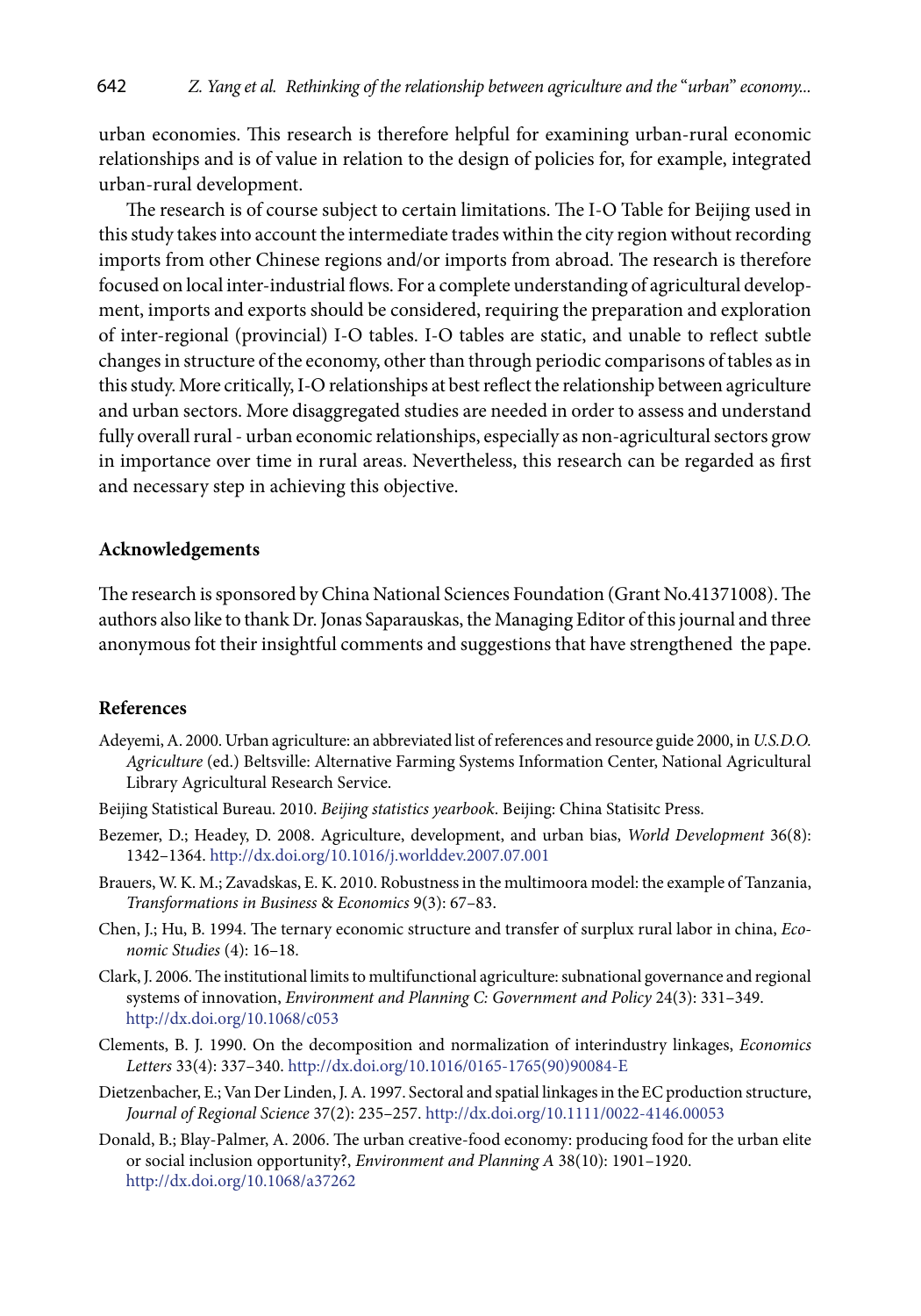urban economies. This research is therefore helpful for examining urban-rural economic relationships and is of value in relation to the design of policies for, for example, integrated urban-rural development.

The research is of course subject to certain limitations. The I-O Table for Beijing used in this study takes into account the intermediate trades within the city region without recording imports from other Chinese regions and/or imports from abroad. The research is therefore focused on local inter-industrial flows. For a complete understanding of agricultural development, imports and exports should be considered, requiring the preparation and exploration of inter-regional (provincial) I-O tables. I-O tables are static, and unable to reflect subtle changes in structure of the economy, other than through periodic comparisons of tables as in this study. More critically, I-O relationships at best reflect the relationship between agriculture and urban sectors. More disaggregated studies are needed in order to assess and understand fully overall rural - urban economic relationships, especially as non-agricultural sectors grow in importance over time in rural areas. Nevertheless, this research can be regarded as first and necessary step in achieving this objective.

### **Acknowledgements**

The research is sponsored by China National Sciences Foundation (Grant No.41371008). The authors also like to thank Dr. Jonas Saparauskas, the Managing Editor of this journal and three anonymous fot their insightful comments and suggestions that have strengthened the pape.

#### **References**

- Adeyemi, A. 2000. Urban agriculture: an abbreviated list of references and resource guide 2000, in *U.S.D.O. Agriculture* (ed.) Beltsville: Alternative Farming Systems Information Center, National Agricultural Library Agricultural Research Service.
- Beijing Statistical Bureau. 2010. *Beijing statistics yearbook*. Beijing: China Statisitc Press.
- Bezemer, D.; Headey, D. 2008. Agriculture, development, and urban bias, *World Development* 36(8): 1342–1364. <http://dx.doi.org/10.1016/j.worlddev.2007.07.001>
- Brauers, W. K. M.; Zavadskas, E. K. 2010. Robustness in the multimoora model: the example of Tanzania, *Transformations in Business* & *Economics* 9(3): 67–83.
- Chen, J.; Hu, B. 1994. The ternary economic structure and transfer of surplux rural labor in china, *Economic Studies* (4): 16–18.
- Clark, J. 2006. The institutional limits to multifunctional agriculture: subnational governance and regional systems of innovation, *Environment and Planning C: Government and Policy* 24(3): 331–349. <http://dx.doi.org/10.1068/c053>
- Clements, B. J. 1990. On the decomposition and normalization of interindustry linkages, *Economics Letters* 33(4): 337–340. [http://dx.doi.org/10.1016/0165-1765\(90\)90084-E](http://dx.doi.org/10.1016/0165-1765(90)90084-E)
- Dietzenbacher, E.; Van Der Linden, J. A. 1997. Sectoral and spatial linkages in the EC production structure, *Journal of Regional Science* 37(2): 235–257.<http://dx.doi.org/10.1111/0022-4146.00053>
- Donald, B.; Blay-Palmer, A. 2006. The urban creative-food economy: producing food for the urban elite or social inclusion opportunity?, *Environment and Planning A* 38(10): 1901–1920. <http://dx.doi.org/10.1068/a37262>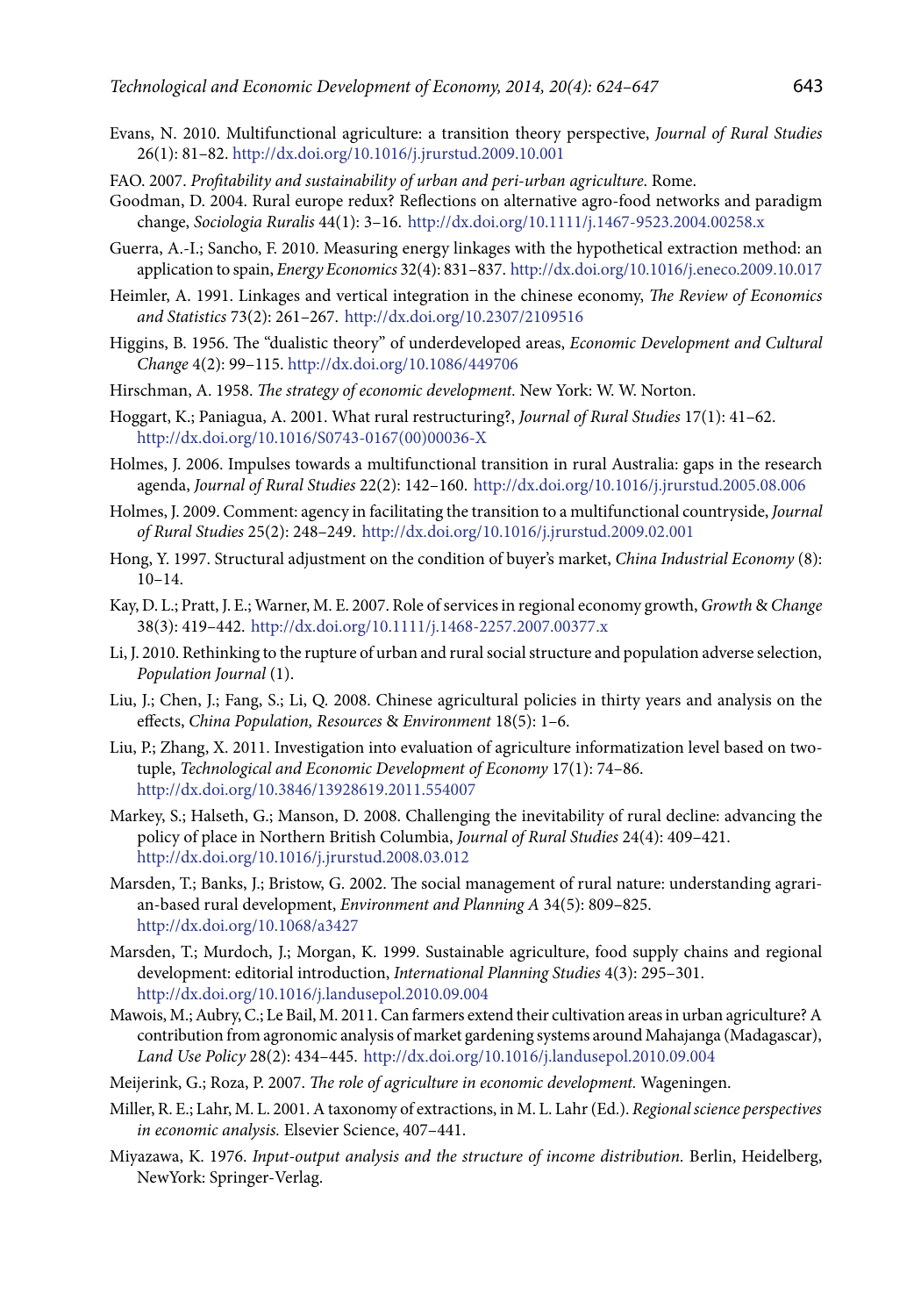- Evans, N. 2010. Multifunctional agriculture: a transition theory perspective, *Journal of Rural Studies*  26(1): 81–82.<http://dx.doi.org/10.1016/j.jrurstud.2009.10.001>
- FAO. 2007. *Profitability and sustainability of urban and peri-urban agriculture*. Rome.
- Goodman, D. 2004. Rural europe redux? Reflections on alternative agro-food networks and paradigm change, *Sociologia Ruralis* 44(1): 3–16. <http://dx.doi.org/10.1111/j.1467-9523.2004.00258.x>
- Guerra, A.-I.; Sancho, F. 2010. Measuring energy linkages with the hypothetical extraction method: an application to spain, *Energy Economics* 32(4): 831–837. <http://dx.doi.org/10.1016/j.eneco.2009.10.017>
- Heimler, A. 1991. Linkages and vertical integration in the chinese economy, *The Review of Economics and Statistics* 73(2): 261–267. <http://dx.doi.org/10.2307/2109516>
- Higgins, B. 1956. The "dualistic theory" of underdeveloped areas, *Economic Development and Cultural Change* 4(2): 99–115. <http://dx.doi.org/10.1086/449706>
- Hirschman, A. 1958. *The strategy of economic development.* New York: W. W. Norton.
- Hoggart, K.; Paniagua, A. 2001. What rural restructuring?, *Journal of Rural Studies* 17(1): 41–62. [http://dx.doi.org/10.1016/S0743-0167\(00\)00036-X](http://dx.doi.org/10.1016/S0743-0167(00)00036-X)
- Holmes, J. 2006. Impulses towards a multifunctional transition in rural Australia: gaps in the research agenda, *Journal of Rural Studies* 22(2): 142–160. <http://dx.doi.org/10.1016/j.jrurstud.2005.08.006>
- Holmes, J. 2009. Comment: agency in facilitating the transition to a multifunctional countryside, *Journal of Rural Studies* 25(2): 248–249. <http://dx.doi.org/10.1016/j.jrurstud.2009.02.001>
- Hong, Y. 1997. Structural adjustment on the condition of buyer's market, *China Industrial Economy* (8): 10–14.
- Kay, D. L.; Pratt, J. E.; Warner, M. E. 2007. Role of services in regional economy growth, *Growth* & *Change*  38(3): 419–442. <http://dx.doi.org/10.1111/j.1468-2257.2007.00377.x>
- Li, J. 2010. Rethinking to the rupture of urban and rural social structure and population adverse selection, *Population Journal* (1).
- Liu, J.; Chen, J.; Fang, S.; Li, Q. 2008. Chinese agricultural policies in thirty years and analysis on the effects, *China Population, Resources* & *Environment* 18(5): 1–6.
- Liu, P.; Zhang, X. 2011. Investigation into evaluation of agriculture informatization level based on twotuple, *Technological and Economic Development of Economy* 17(1): 74–86. <http://dx.doi.org/10.3846/13928619.2011.554007>
- Markey, S.; Halseth, G.; Manson, D. 2008. Challenging the inevitability of rural decline: advancing the policy of place in Northern British Columbia, *Journal of Rural Studies* 24(4): 409–421. <http://dx.doi.org/10.1016/j.jrurstud.2008.03.012>
- Marsden, T.; Banks, J.; Bristow, G. 2002. The social management of rural nature: understanding agrarian-based rural development, *Environment and Planning A* 34(5): 809–825. <http://dx.doi.org/10.1068/a3427>
- Marsden, T.; Murdoch, J.; Morgan, K. 1999. Sustainable agriculture, food supply chains and regional development: editorial introduction, *International Planning Studies* 4(3): 295–301. <http://dx.doi.org/10.1016/j.landusepol.2010.09.004>
- Mawois, M.; Aubry, C.; Le Bail, M. 2011. Can farmers extend their cultivation areas in urban agriculture? A contribution from agronomic analysis of market gardening systems around Mahajanga (Madagascar), *Land Use Policy* 28(2): 434–445. <http://dx.doi.org/10.1016/j.landusepol.2010.09.004>
- Meijerink, G.; Roza, P. 2007. *The role of agriculture in economic development.* Wageningen.
- Miller, R. E.; Lahr, M. L. 2001. A taxonomy of extractions, in M. L. Lahr (Ed.). *Regional science perspectives in economic analysis.* Elsevier Science, 407–441.
- Miyazawa, K. 1976. *Input-output analysis and the structure of income distribution.* Berlin, Heidelberg, NewYork: Springer-Verlag.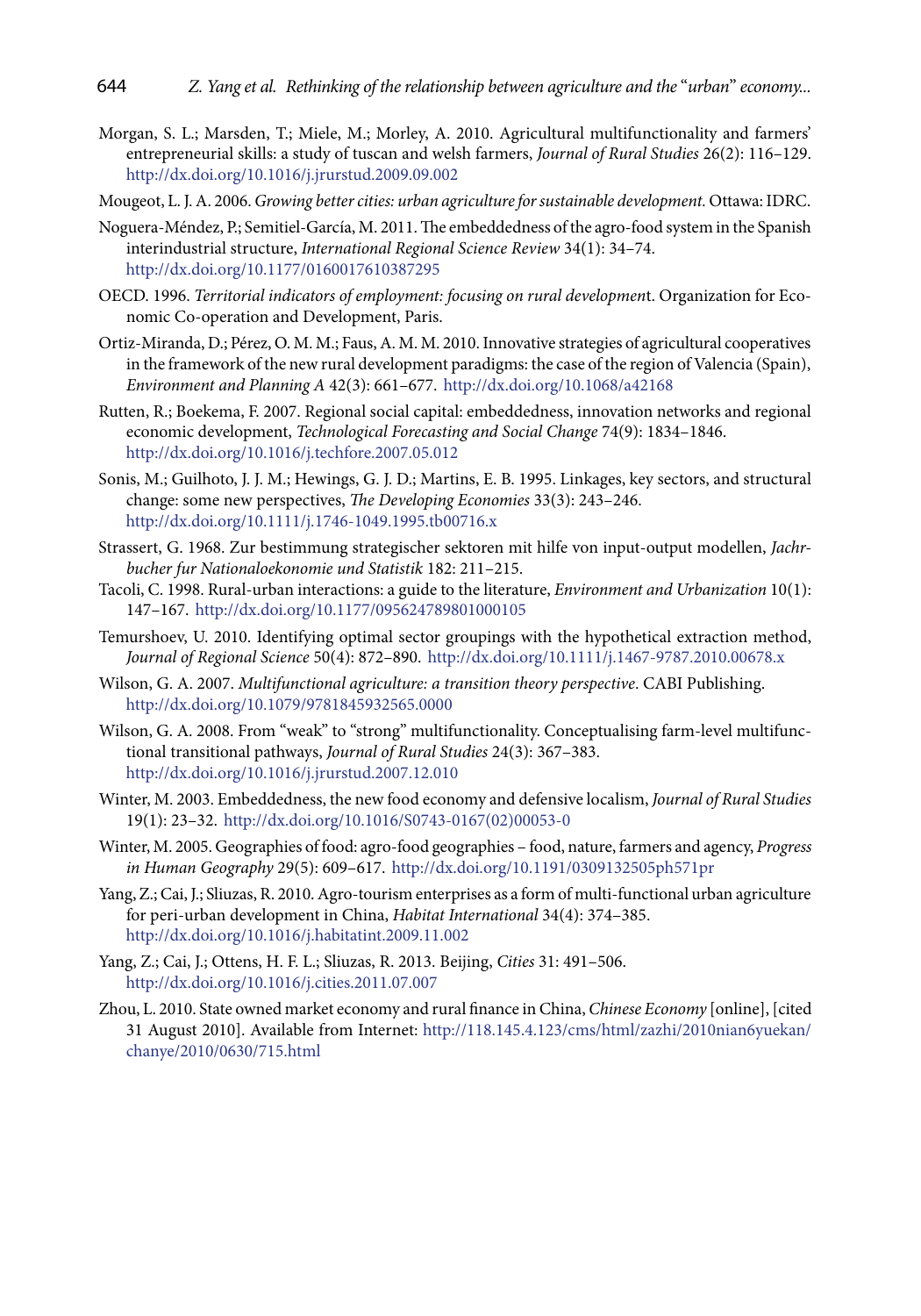- Morgan, S. L.; Marsden, T.; Miele, M.; Morley, A. 2010. Agricultural multifunctionality and farmers' entrepreneurial skills: a study of tuscan and welsh farmers, *Journal of Rural Studies* 26(2): 116–129. <http://dx.doi.org/10.1016/j.jrurstud.2009.09.002>
- Mougeot, L. J. A. 2006. *Growing better cities: urban agriculture for sustainable development.* Ottawa: IDRC.
- Noguera-Méndez, P.; Semitiel-García, M. 2011. The embeddedness of the agro-food system in the Spanish interindustrial structure, *International Regional Science Review* 34(1): 34–74. <http://dx.doi.org/10.1177/0160017610387295>
- OECD. 1996. *Territorial indicators of employment: focusing on rural developmen*t. Organization for Economic Co-operation and Development, Paris.
- Ortiz-Miranda, D.; Pérez, O. M. M.; Faus, A. M. M. 2010. Innovative strategies of agricultural cooperatives in the framework of the new rural development paradigms: the case of the region of Valencia (Spain), *Environment and Planning A* 42(3): 661–677. <http://dx.doi.org/10.1068/a42168>
- Rutten, R.; Boekema, F. 2007. Regional social capital: embeddedness, innovation networks and regional economic development, *Technological Forecasting and Social Change* 74(9): 1834–1846. <http://dx.doi.org/10.1016/j.techfore.2007.05.012>
- Sonis, M.; Guilhoto, J. J. M.; Hewings, G. J. D.; Martins, E. B. 1995. Linkages, key sectors, and structural change: some new perspectives, *The Developing Economies* 33(3): 243–246. <http://dx.doi.org/10.1111/j.1746-1049.1995.tb00716.x>
- Strassert, G. 1968. Zur bestimmung strategischer sektoren mit hilfe von input-output modellen, *Jachrbucher fur Nationaloekonomie und Statistik* 182: 211–215.
- Tacoli, C. 1998. Rural-urban interactions: a guide to the literature, *Environment and Urbanization* 10(1): 147–167. <http://dx.doi.org/10.1177/095624789801000105>
- Temurshoev, U. 2010. Identifying optimal sector groupings with the hypothetical extraction method, *Journal of Regional Science* 50(4): 872–890. <http://dx.doi.org/10.1111/j.1467-9787.2010.00678.x>
- Wilson, G. A. 2007. *Multifunctional agriculture: a transition theory perspective*. CABI Publishing. <http://dx.doi.org/10.1079/9781845932565.0000>
- Wilson, G. A. 2008. From "weak" to "strong" multifunctionality. Conceptualising farm-level multifunctional transitional pathways, *Journal of Rural Studies* 24(3): 367–383. <http://dx.doi.org/10.1016/j.jrurstud.2007.12.010>
- Winter, M. 2003. Embeddedness, the new food economy and defensive localism, *Journal of Rural Studies*  19(1): 23–32. [http://dx.doi.org/10.1016/S0743-0167\(02\)00053-0](http://dx.doi.org/10.1016/S0743-0167(02)00053-0)
- Winter, M. 2005. Geographies of food: agro-food geographies food, nature, farmers and agency, *Progress in Human Geography* 29(5): 609–617. <http://dx.doi.org/10.1191/0309132505ph571pr>
- Yang, Z.; Cai, J.; Sliuzas, R. 2010. Agro-tourism enterprises as a form of multi-functional urban agriculture for peri-urban development in China, *Habitat International* 34(4): 374–385. <http://dx.doi.org/10.1016/j.habitatint.2009.11.002>
- Yang, Z.; Cai, J.; Ottens, H. F. L.; Sliuzas, R. 2013. Beijing, *Cities* 31: 491–506. <http://dx.doi.org/10.1016/j.cities.2011.07.007>
- Zhou, L. 2010. State owned market economy and rural finance in China, *Chinese Economy* [online], [cited 31 August 2010]. Available from Internet: [http://118.145.4.123/cms/html/zazhi/2010nian6yuekan/](http://118.145.4.123/cms/html/zazhi/2010nian6yuekan/chanye/2010/0630/715.html) [chanye/2010/0630/715.html](http://118.145.4.123/cms/html/zazhi/2010nian6yuekan/chanye/2010/0630/715.html)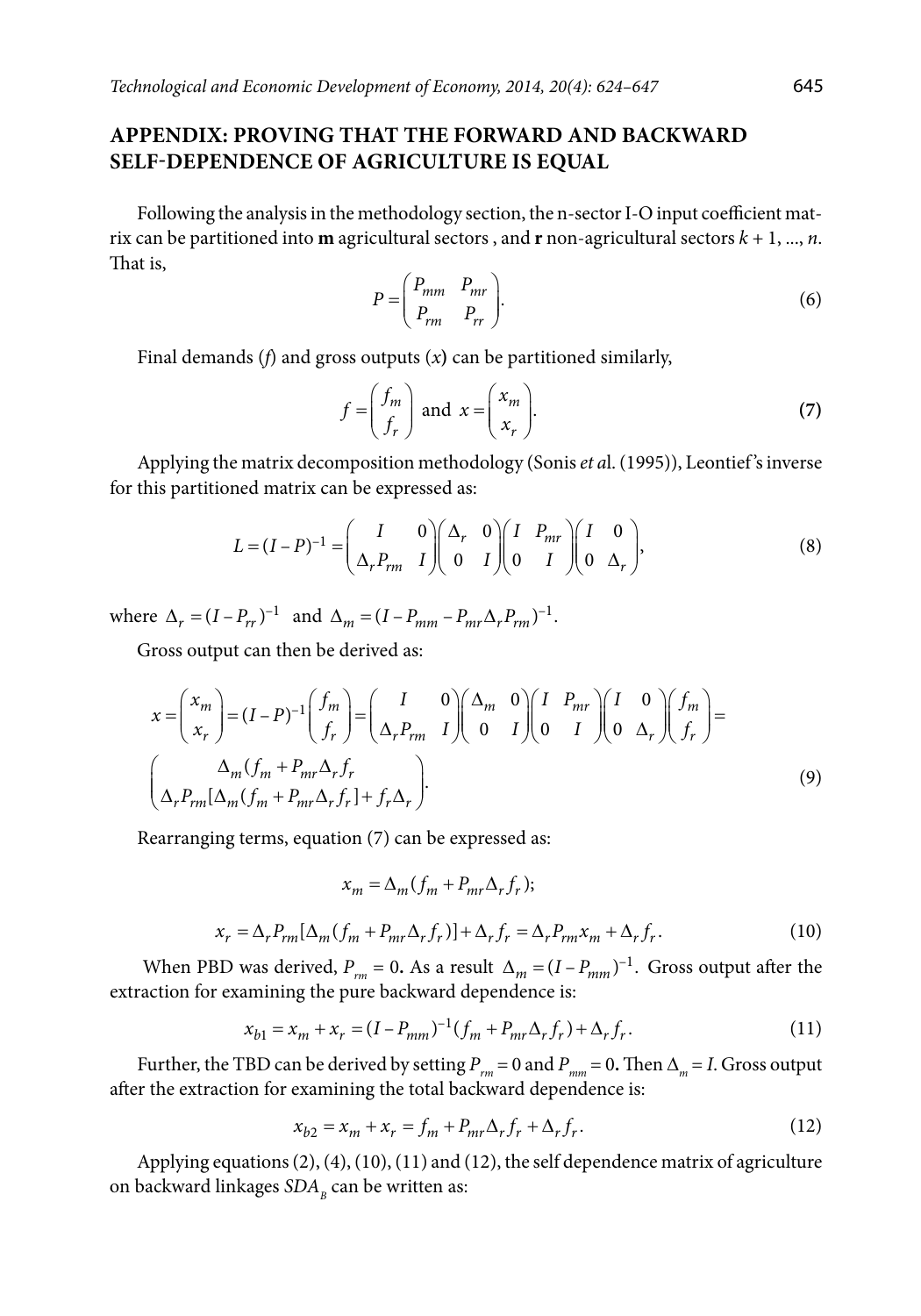# **Appendix: Proving that the forward and backward self-dependence of agriculture is equal**

Following the analysis in the methodology section, the n-sector I-O input coefficient matrix can be partitioned into **m** agricultural sectors, and **r** non-agricultural sectors  $k + 1, ..., n$ . That is,

$$
P = \begin{pmatrix} P_{mm} & P_{mr} \\ P_{rm} & P_{rr} \end{pmatrix}.
$$
 (6)

Final demands (*f*) and gross outputs (*x***)** can be partitioned similarly,

$$
f = \begin{pmatrix} f_m \\ f_r \end{pmatrix} \text{ and } x = \begin{pmatrix} x_m \\ x_r \end{pmatrix}.
$$
 (7)

Applying the matrix decomposition methodology (Sonis *et a*l. (1995)), Leontief 's inverse for this partitioned matrix can be expressed as:

$$
L = (I - P)^{-1} = \begin{pmatrix} I & 0 \\ \Delta_r P_{rm} & I \end{pmatrix} \begin{pmatrix} \Delta_r & 0 \\ 0 & I \end{pmatrix} \begin{pmatrix} I & P_{rm} \\ 0 & I \end{pmatrix} \begin{pmatrix} I & 0 \\ 0 & \Delta_r \end{pmatrix},
$$
(8)

where  $\Delta_r = (I - P_{rr})^{-1}$  and  $\Delta_m = (I - P_{mm} - P_{rr} \Delta_r P_{rm} )^{-1}$ .

Gross output can then be derived as:

$$
x = \begin{pmatrix} x_m \\ x_r \end{pmatrix} = (I - P)^{-1} \begin{pmatrix} f_m \\ f_r \end{pmatrix} = \begin{pmatrix} I & 0 \\ \Delta_r P_{rm} & I \end{pmatrix} \begin{pmatrix} \Delta_m & 0 \\ 0 & I \end{pmatrix} \begin{pmatrix} I & P_{mr} \\ 0 & I \end{pmatrix} \begin{pmatrix} I & 0 \\ 0 & \Delta_r \end{pmatrix} \begin{pmatrix} f_m \\ f_r \end{pmatrix} = \begin{pmatrix} \Delta_m (f_m + P_{mr} \Delta_r f_r) \\ \Delta_r P_{rm} [\Delta_m (f_m + P_{mr} \Delta_r f_r] + f_r \Delta_r \end{pmatrix}.
$$
 (9)

Rearranging terms, equation (7) can be expressed as:

$$
x_m = \Delta_m (f_m + P_{mr}\Delta_r f_r);
$$
  

$$
x_r = \Delta_r P_{rm} [\Delta_m (f_m + P_{mr}\Delta_r f_r)] + \Delta_r f_r = \Delta_r P_{rm} x_m + \Delta_r f_r.
$$
 (10)

When PBD was derived,  $P_{rm} = 0$ . As a result  $\Delta_m = (I - P_{mm})^{-1}$ . Gross output after the extraction for examining the pure backward dependence is:

*x fP f m m m mr r r* =∆ + ∆ ( );

$$
x_{b1} = x_m + x_r = (I - P_{mm})^{-1} (f_m + P_{mr} \Delta_r f_r) + \Delta_r f_r.
$$
 (11)

Further, the TBD can be derived by setting  $P_{rm} = 0$  and  $P_{mm} = 0$ . Then  $\Delta_m = I$ . Gross output after the extraction for examining the total backward dependence is:

$$
x_{b2} = x_m + x_r = f_m + P_{mr} \Delta_r f_r + \Delta_r f_r. \tag{12}
$$

Applying equations  $(2)$ ,  $(4)$ ,  $(10)$ ,  $(11)$  and  $(12)$ , the self dependence matrix of agriculture on backward linkages *SDA*<sub>*R*</sub> can be written as: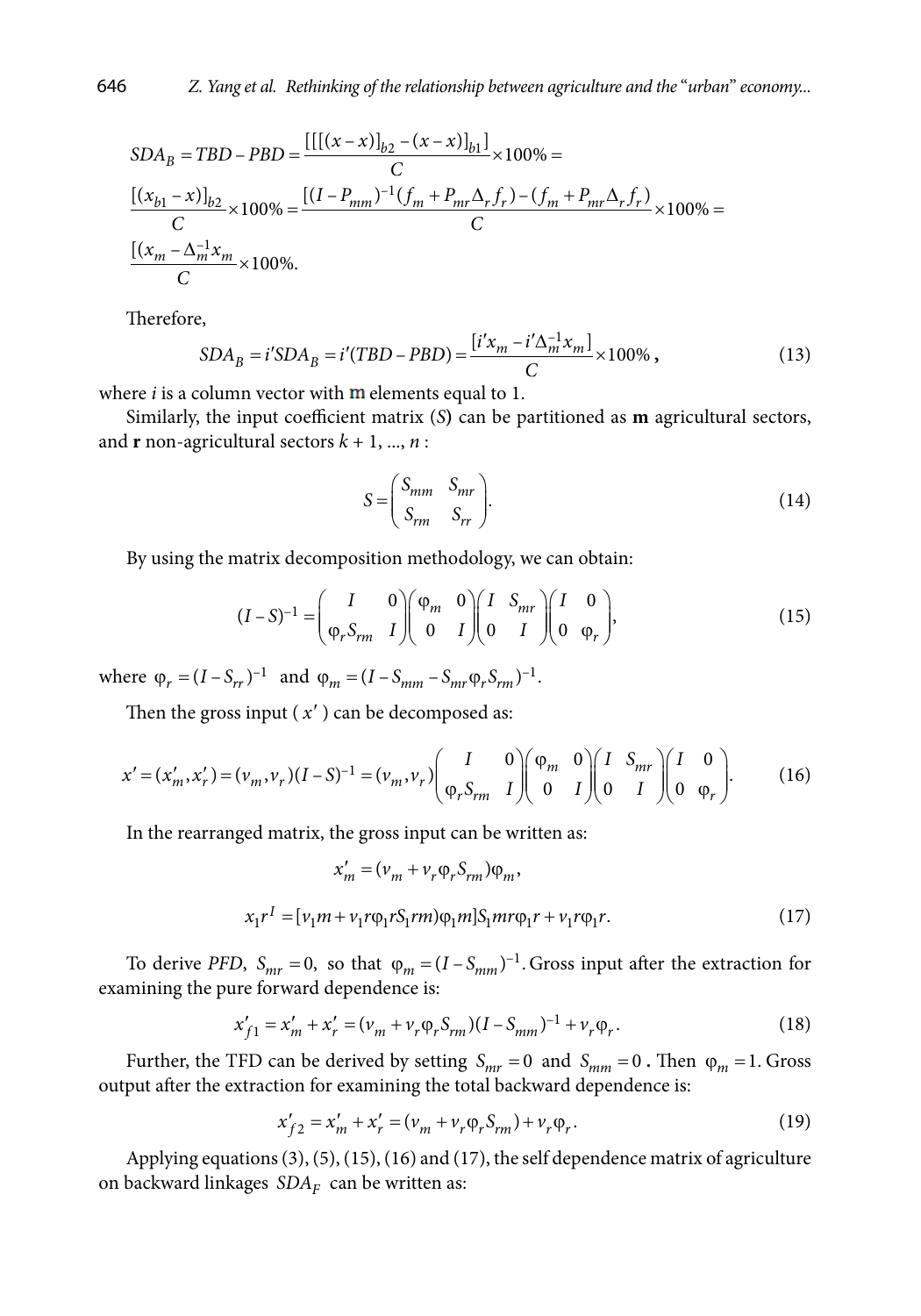$$
SDAB = TBD - PBD = \frac{\left[\left[\left[(x-x)\right]_{b2} - (x-x)\right]_{b1}\right]}{C} \times 100\% =
$$
  

$$
\frac{\left[(x_{b1} - x)\right]_{b2}}{C} \times 100\% = \frac{\left[(I - P_{mm})^{-1}(f_m + P_{mr}\Delta_rf_r) - (f_m + P_{mr}\Delta_rf_r)\right]}{C} \times 100\% =
$$
  

$$
\frac{\left[(x_m - \Delta_m^{-1}x_m) \times 100\% \right]}{C}
$$

Therefore,

$$
SDA_B = i'SDA_B = i'(TBD - PBD) = \frac{[i'x_m - i'\Delta_m^{-1}x_m]}{C} \times 100\%,
$$
\n(13)

where  $i$  is a column vector with  $m$  elements equal to 1.

Similarly, the input coefficient matrix (*S***)** can be partitioned as **m** agricultural sectors, and **r** non-agricultural sectors  $k + 1, ..., n$ :

$$
S = \begin{pmatrix} S_{mm} & S_{mr} \\ S_{rm} & S_{rr} \end{pmatrix} . \tag{14}
$$

By using the matrix decomposition methodology, we can obtain:

$$
(I-S)^{-1} = \begin{pmatrix} I & 0 \ \varphi_r S_{rm} & I \end{pmatrix} \begin{pmatrix} \varphi_m & 0 \\ 0 & I \end{pmatrix} \begin{pmatrix} I & S_{mr} \\ 0 & I \end{pmatrix} \begin{pmatrix} I & 0 \\ 0 & \varphi_r \end{pmatrix},
$$
(15)

where  $\varphi_r = (I - S_{rr})^{-1}$  and  $\varphi_m = (I - S_{mm} - S_{mr} \varphi_r S_{rm} - I)$ .

Then the gross input  $(x')$  can be decomposed as:

$$
x' = (x'_m, x'_r) = (v_m, v_r)(I - S)^{-1} = (v_m, v_r) \begin{pmatrix} I & 0 \ \varphi_r S_{rm} & I \end{pmatrix} \begin{pmatrix} \varphi_m & 0 \ 0 & I \end{pmatrix} \begin{pmatrix} I & S_{rm} \ I & 0 \ 0 & I \end{pmatrix} .
$$
 (16)

In the rearranged matrix, the gross input can be written as:

$$
x'_{m} = (\nu_{m} + \nu_{r}\varphi_{r}S_{rm})\varphi_{m},
$$
  

$$
x_{1}r^{I} = [\nu_{1}m + \nu_{1}r\varphi_{1}rS_{1}rm)\varphi_{1}m]S_{1}mr\varphi_{1}r + \nu_{1}r\varphi_{1}r.
$$
 (17)

To derive *PFD*,  $S_{mr} = 0$ , so that  $\varphi_m = (I - S_{mm})^{-1}$ . Gross input after the extraction for examining the pure forward dependence is:

$$
x'_{f1} = x'_{m} + x'_{r} = (\nu_{m} + \nu_{r} \varphi_{r} S_{rm})(I - S_{mm})^{-1} + \nu_{r} \varphi_{r}.
$$
 (18)

Further, the TFD can be derived by setting  $S_{mr} = 0$  and  $S_{mm} = 0$ . Then  $\varphi_m = 1$ . Gross output after the extraction for examining the total backward dependence is:

$$
x'_{f2} = x'_{m} + x'_{r} = (\nu_{m} + \nu_{r}\varphi_{r}S_{rm}) + \nu_{r}\varphi_{r}.
$$
 (19)

Applying equations (3), (5), (15), (16) and (17), the self dependence matrix of agriculture on backward linkages  $SDA<sub>F</sub>$  can be written as: